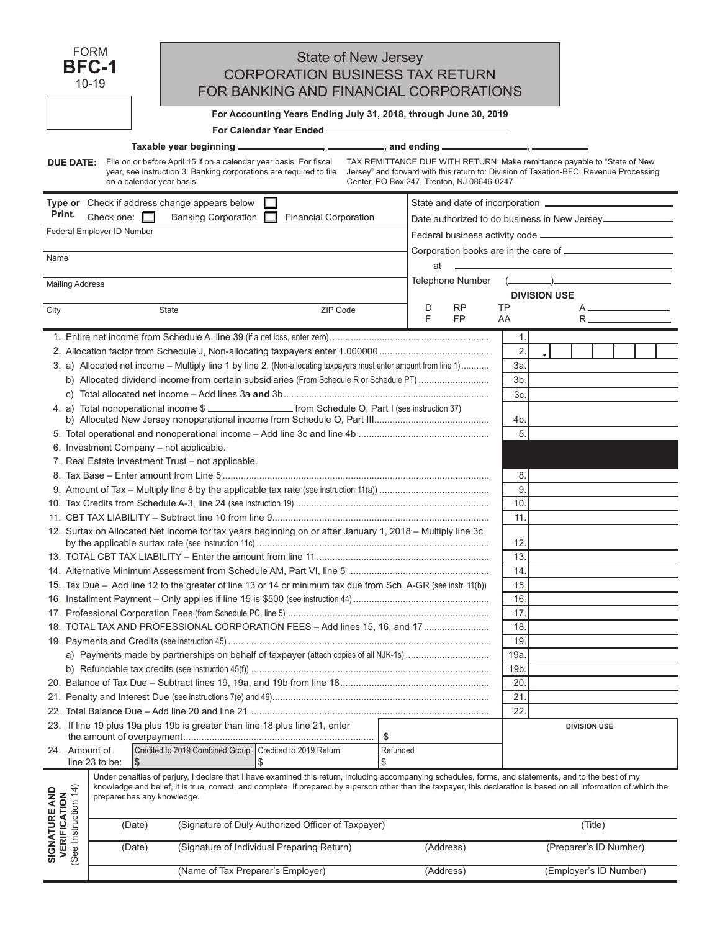| <b>FORM</b><br><b>BFC-1</b><br>$10 - 19$                                                                                                                                                                                                                                                                                                                                                                                     | State of New Jersey<br><b>CORPORATION BUSINESS TAX RETURN</b><br>FOR BANKING AND FINANCIAL CORPORATIONS |                                                                                       |  |  |  |  |  |  |
|------------------------------------------------------------------------------------------------------------------------------------------------------------------------------------------------------------------------------------------------------------------------------------------------------------------------------------------------------------------------------------------------------------------------------|---------------------------------------------------------------------------------------------------------|---------------------------------------------------------------------------------------|--|--|--|--|--|--|
| For Accounting Years Ending July 31, 2018, through June 30, 2019                                                                                                                                                                                                                                                                                                                                                             |                                                                                                         |                                                                                       |  |  |  |  |  |  |
| For Calendar Year Ended _____________                                                                                                                                                                                                                                                                                                                                                                                        |                                                                                                         |                                                                                       |  |  |  |  |  |  |
| Taxable year beginning __________________, ___________, and ending ______________, _________                                                                                                                                                                                                                                                                                                                                 |                                                                                                         |                                                                                       |  |  |  |  |  |  |
| File on or before April 15 if on a calendar year basis. For fiscal<br><b>DUE DATE:</b>                                                                                                                                                                                                                                                                                                                                       |                                                                                                         | TAX REMITTANCE DUE WITH RETURN: Make remittance payable to "State of New              |  |  |  |  |  |  |
| year, see instruction 3. Banking corporations are required to file<br>on a calendar year basis.                                                                                                                                                                                                                                                                                                                              | Center, PO Box 247, Trenton, NJ 08646-0247                                                              | Jersey" and forward with this return to: Division of Taxation-BFC, Revenue Processing |  |  |  |  |  |  |
| Type or Check if address change appears below                                                                                                                                                                                                                                                                                                                                                                                |                                                                                                         |                                                                                       |  |  |  |  |  |  |
| Print.<br>Check one: $\square$<br><b>Banking Corporation</b><br><b>Financial Corporation</b>                                                                                                                                                                                                                                                                                                                                 |                                                                                                         | Date authorized to do business in New Jersey                                          |  |  |  |  |  |  |
| Federal Employer ID Number                                                                                                                                                                                                                                                                                                                                                                                                   |                                                                                                         |                                                                                       |  |  |  |  |  |  |
|                                                                                                                                                                                                                                                                                                                                                                                                                              |                                                                                                         |                                                                                       |  |  |  |  |  |  |
| Name                                                                                                                                                                                                                                                                                                                                                                                                                         |                                                                                                         |                                                                                       |  |  |  |  |  |  |
|                                                                                                                                                                                                                                                                                                                                                                                                                              | at                                                                                                      |                                                                                       |  |  |  |  |  |  |
| <b>Mailing Address</b>                                                                                                                                                                                                                                                                                                                                                                                                       |                                                                                                         |                                                                                       |  |  |  |  |  |  |
|                                                                                                                                                                                                                                                                                                                                                                                                                              |                                                                                                         | <b>DIVISION USE</b>                                                                   |  |  |  |  |  |  |
| City<br>ZIP Code<br>State                                                                                                                                                                                                                                                                                                                                                                                                    | D<br>RP<br>F                                                                                            | TP                                                                                    |  |  |  |  |  |  |
|                                                                                                                                                                                                                                                                                                                                                                                                                              | FP                                                                                                      | AA                                                                                    |  |  |  |  |  |  |
|                                                                                                                                                                                                                                                                                                                                                                                                                              |                                                                                                         | 1.                                                                                    |  |  |  |  |  |  |
|                                                                                                                                                                                                                                                                                                                                                                                                                              |                                                                                                         | 2.                                                                                    |  |  |  |  |  |  |
| 3. a) Allocated net income - Multiply line 1 by line 2. (Non-allocating taxpayers must enter amount from line 1)                                                                                                                                                                                                                                                                                                             |                                                                                                         | 3a                                                                                    |  |  |  |  |  |  |
| b) Allocated dividend income from certain subsidiaries (From Schedule R or Schedule PT)                                                                                                                                                                                                                                                                                                                                      |                                                                                                         | 3b                                                                                    |  |  |  |  |  |  |
|                                                                                                                                                                                                                                                                                                                                                                                                                              |                                                                                                         | 3c                                                                                    |  |  |  |  |  |  |
| 4. a) Total nonoperational income \$                                                                                                                                                                                                                                                                                                                                                                                         |                                                                                                         |                                                                                       |  |  |  |  |  |  |
|                                                                                                                                                                                                                                                                                                                                                                                                                              |                                                                                                         | 4b.                                                                                   |  |  |  |  |  |  |
|                                                                                                                                                                                                                                                                                                                                                                                                                              |                                                                                                         | 5.                                                                                    |  |  |  |  |  |  |
| 6. Investment Company - not applicable.                                                                                                                                                                                                                                                                                                                                                                                      |                                                                                                         |                                                                                       |  |  |  |  |  |  |
| 7. Real Estate Investment Trust - not applicable.                                                                                                                                                                                                                                                                                                                                                                            |                                                                                                         |                                                                                       |  |  |  |  |  |  |
|                                                                                                                                                                                                                                                                                                                                                                                                                              |                                                                                                         | 8.                                                                                    |  |  |  |  |  |  |
| 9.                                                                                                                                                                                                                                                                                                                                                                                                                           |                                                                                                         | 9                                                                                     |  |  |  |  |  |  |
|                                                                                                                                                                                                                                                                                                                                                                                                                              |                                                                                                         | 10                                                                                    |  |  |  |  |  |  |
|                                                                                                                                                                                                                                                                                                                                                                                                                              |                                                                                                         | 11.                                                                                   |  |  |  |  |  |  |
| 12. Surtax on Allocated Net Income for tax years beginning on or after January 1, 2018 – Multiply line 3c                                                                                                                                                                                                                                                                                                                    |                                                                                                         |                                                                                       |  |  |  |  |  |  |
|                                                                                                                                                                                                                                                                                                                                                                                                                              |                                                                                                         | 12.                                                                                   |  |  |  |  |  |  |
|                                                                                                                                                                                                                                                                                                                                                                                                                              |                                                                                                         | 13.                                                                                   |  |  |  |  |  |  |
|                                                                                                                                                                                                                                                                                                                                                                                                                              |                                                                                                         | 14.                                                                                   |  |  |  |  |  |  |
| 15. Tax Due - Add line 12 to the greater of line 13 or 14 or minimum tax due from Sch. A-GR (see instr. 11(b))                                                                                                                                                                                                                                                                                                               |                                                                                                         | 15                                                                                    |  |  |  |  |  |  |
|                                                                                                                                                                                                                                                                                                                                                                                                                              |                                                                                                         | 16                                                                                    |  |  |  |  |  |  |
|                                                                                                                                                                                                                                                                                                                                                                                                                              |                                                                                                         | 17                                                                                    |  |  |  |  |  |  |
| 18. TOTAL TAX AND PROFESSIONAL CORPORATION FEES - Add lines 15, 16, and 17<br>18                                                                                                                                                                                                                                                                                                                                             |                                                                                                         |                                                                                       |  |  |  |  |  |  |
| 19                                                                                                                                                                                                                                                                                                                                                                                                                           |                                                                                                         |                                                                                       |  |  |  |  |  |  |
| 19a                                                                                                                                                                                                                                                                                                                                                                                                                          |                                                                                                         |                                                                                       |  |  |  |  |  |  |
| 19b                                                                                                                                                                                                                                                                                                                                                                                                                          |                                                                                                         |                                                                                       |  |  |  |  |  |  |
|                                                                                                                                                                                                                                                                                                                                                                                                                              |                                                                                                         | 20                                                                                    |  |  |  |  |  |  |
|                                                                                                                                                                                                                                                                                                                                                                                                                              |                                                                                                         | 21                                                                                    |  |  |  |  |  |  |
|                                                                                                                                                                                                                                                                                                                                                                                                                              |                                                                                                         | 22                                                                                    |  |  |  |  |  |  |
| 23. If line 19 plus 19a plus 19b is greater than line 18 plus line 21, enter                                                                                                                                                                                                                                                                                                                                                 |                                                                                                         | <b>DIVISION USE</b>                                                                   |  |  |  |  |  |  |
| \$                                                                                                                                                                                                                                                                                                                                                                                                                           |                                                                                                         |                                                                                       |  |  |  |  |  |  |
| 24. Amount of<br>Credited to 2019 Combined Group   Credited to 2019 Return<br>Refunded<br>line 23 to be:<br>\$<br>1\$<br>\$                                                                                                                                                                                                                                                                                                  |                                                                                                         |                                                                                       |  |  |  |  |  |  |
| Under penalties of perjury, I declare that I have examined this return, including accompanying schedules, forms, and statements, and to the best of my<br>knowledge and belief, it is true, correct, and complete. If prepared by a person other than the taxpayer, this declaration is based on all information of which the<br>See Instruction 14)<br><b>SIGNATURE AND<br/>VERIFICATION</b><br>preparer has any knowledge. |                                                                                                         |                                                                                       |  |  |  |  |  |  |
| (Signature of Duly Authorized Officer of Taxpayer)<br>(Date)                                                                                                                                                                                                                                                                                                                                                                 |                                                                                                         | (Title)                                                                               |  |  |  |  |  |  |
| (Signature of Individual Preparing Return)<br>(Date)                                                                                                                                                                                                                                                                                                                                                                         | (Address)                                                                                               | (Preparer's ID Number)                                                                |  |  |  |  |  |  |

 $\overline{a}$ 

(Name of Tax Preparer's Employer) (Address) (Employer's ID Number)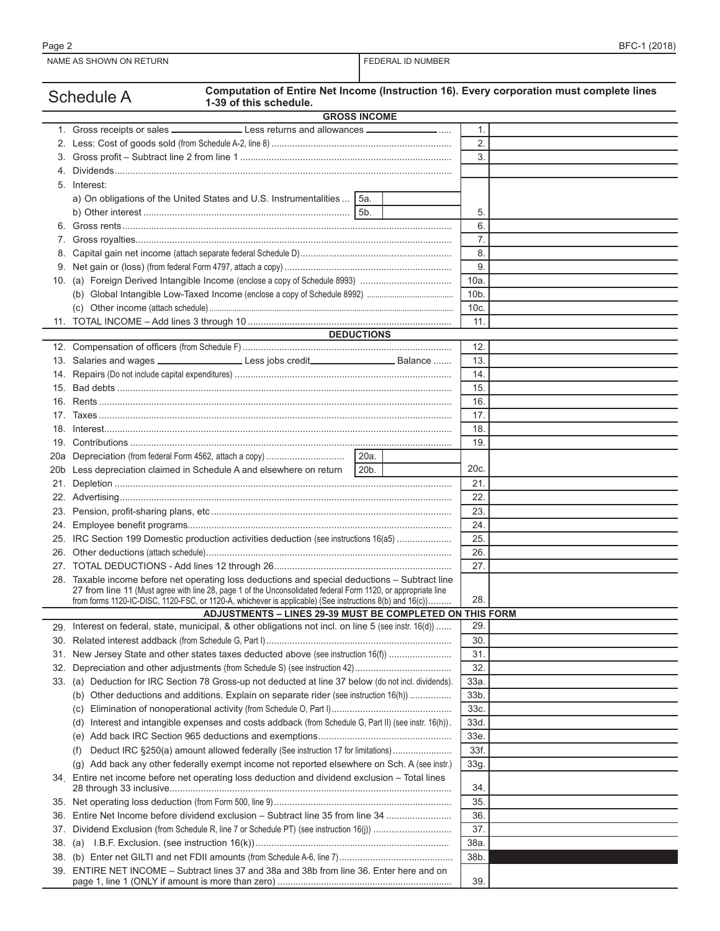|     | Computation of Entire Net Income (Instruction 16). Every corporation must complete lines<br><b>Schedule A</b><br>1-39 of this schedule.                                                                                   |                  |  |
|-----|---------------------------------------------------------------------------------------------------------------------------------------------------------------------------------------------------------------------------|------------------|--|
|     | <b>GROSS INCOME</b>                                                                                                                                                                                                       |                  |  |
|     |                                                                                                                                                                                                                           | 1.               |  |
|     |                                                                                                                                                                                                                           | $\overline{2}$ . |  |
|     |                                                                                                                                                                                                                           | 3.               |  |
| 4.  |                                                                                                                                                                                                                           |                  |  |
|     | 5. Interest:                                                                                                                                                                                                              |                  |  |
|     | a) On obligations of the United States and U.S. Instrumentalities  5a.                                                                                                                                                    |                  |  |
|     |                                                                                                                                                                                                                           | 5.               |  |
|     |                                                                                                                                                                                                                           | 6.               |  |
|     |                                                                                                                                                                                                                           |                  |  |
| 7.  |                                                                                                                                                                                                                           | 7.               |  |
| 8.  |                                                                                                                                                                                                                           | 8.               |  |
|     |                                                                                                                                                                                                                           | 9.               |  |
|     | 10. (a) Foreign Derived Intangible Income (enclose a copy of Schedule 8993)                                                                                                                                               | 10a              |  |
|     |                                                                                                                                                                                                                           | 10b.             |  |
|     |                                                                                                                                                                                                                           | 10c              |  |
|     |                                                                                                                                                                                                                           | 11.              |  |
|     | <b>DEDUCTIONS</b>                                                                                                                                                                                                         |                  |  |
|     |                                                                                                                                                                                                                           | 12.              |  |
|     |                                                                                                                                                                                                                           | 13.              |  |
| 14. |                                                                                                                                                                                                                           | 14.              |  |
| 15. |                                                                                                                                                                                                                           | 15.              |  |
| 16. |                                                                                                                                                                                                                           | 16.              |  |
| 17. |                                                                                                                                                                                                                           | 17.              |  |
| 18. |                                                                                                                                                                                                                           | 18.              |  |
|     |                                                                                                                                                                                                                           | 19.              |  |
| 20a | 20a.                                                                                                                                                                                                                      |                  |  |
| 20b | Less depreciation claimed in Schedule A and elsewhere on return<br>20b.                                                                                                                                                   | 20 <sub>c</sub>  |  |
| 21. |                                                                                                                                                                                                                           | 21.              |  |
|     |                                                                                                                                                                                                                           | 22.              |  |
|     |                                                                                                                                                                                                                           | 23.              |  |
|     |                                                                                                                                                                                                                           | 24.              |  |
|     | 25. IRC Section 199 Domestic production activities deduction (see instructions 16(a5)                                                                                                                                     | 25.              |  |
|     |                                                                                                                                                                                                                           | 26.              |  |
|     |                                                                                                                                                                                                                           | 27.              |  |
|     | 28. Taxable income before net operating loss deductions and special deductions - Subtract line                                                                                                                            |                  |  |
|     | 27 from line 11 (Must agree with line 28, page 1 of the Unconsolidated federal Form 1120, or appropriate line<br>from forms 1120-IC-DISC, 1120-FSC, or 1120-A, whichever is applicable) (See instructions 8(b) and 16(c)) | 28.              |  |
|     | ADJUSTMENTS - LINES 29-39 MUST BE COMPLETED ON THIS FORM                                                                                                                                                                  |                  |  |
| 29. | Interest on federal, state, municipal, & other obligations not incl. on line 5 (see instr. 16(d))                                                                                                                         | 29.              |  |
| 30. |                                                                                                                                                                                                                           | 30.              |  |
| 31. | New Jersey State and other states taxes deducted above (see instruction 16(f)                                                                                                                                             | 31.              |  |
| 32. |                                                                                                                                                                                                                           | 32.              |  |
| 33. | (a) Deduction for IRC Section 78 Gross-up not deducted at line 37 below (do not incl. dividends).                                                                                                                         | 33a.             |  |
|     | (b) Other deductions and additions. Explain on separate rider (see instruction 16(h))                                                                                                                                     | 33 <sub>b</sub>  |  |
|     |                                                                                                                                                                                                                           | 33c.             |  |
|     | (d) Interest and intangible expenses and costs addback (from Schedule G, Part II) (see instr. 16(h)).                                                                                                                     | 33d              |  |
|     | (e)                                                                                                                                                                                                                       | 33e              |  |
|     | Deduct IRC §250(a) amount allowed federally (See instruction 17 for limitations)<br>(t)                                                                                                                                   | 33f.             |  |
|     | Add back any other federally exempt income not reported elsewhere on Sch. A (see instr.)<br>$\left( q\right)$                                                                                                             | 33g.             |  |
|     | 34. Entire net income before net operating loss deduction and dividend exclusion - Total lines                                                                                                                            | 34               |  |
| 35. |                                                                                                                                                                                                                           | 35.              |  |
| 36. | Entire Net Income before dividend exclusion - Subtract line 35 from line 34                                                                                                                                               | 36.              |  |
| 37. | Dividend Exclusion (from Schedule R, line 7 or Schedule PT) (see instruction 16(j))                                                                                                                                       | 37.              |  |
| 38. |                                                                                                                                                                                                                           | 38a.             |  |
| 38. |                                                                                                                                                                                                                           | 38b.             |  |
|     | 39. ENTIRE NET INCOME – Subtract lines 37 and 38a and 38b from line 36. Enter here and on                                                                                                                                 |                  |  |
|     |                                                                                                                                                                                                                           | 39.              |  |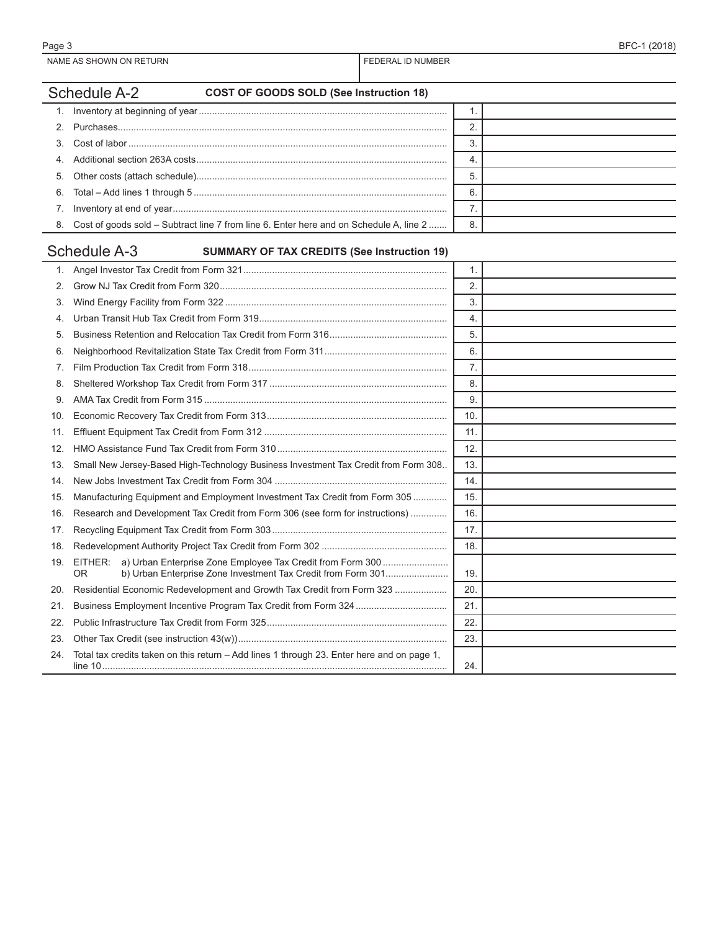## Schedule A-2 **COST OF GOODS SOLD (See Instruction 18)** 1. Inventory at beginning of year............................................................................................... 1. 2. Purchases.............................................................................................................................. 2.

|                                                                                           | 5  |  |
|-------------------------------------------------------------------------------------------|----|--|
|                                                                                           | 6  |  |
|                                                                                           |    |  |
| 8. Cost of goods sold – Subtract line 7 from line 6. Enter here and on Schedule A, line 2 | 8. |  |

# Schedule A-3 **SUMMARY OF TAX CREDITS (See Instruction 19)**

|     |                                                                                                                                                    | 1.  |  |
|-----|----------------------------------------------------------------------------------------------------------------------------------------------------|-----|--|
| 2.  |                                                                                                                                                    | 2.  |  |
| 3.  |                                                                                                                                                    | 3.  |  |
| 4.  |                                                                                                                                                    | 4.  |  |
| 5.  |                                                                                                                                                    | 5.  |  |
| 6.  |                                                                                                                                                    | 6.  |  |
| 7.  |                                                                                                                                                    | 7.  |  |
| 8.  |                                                                                                                                                    | 8.  |  |
| 9.  |                                                                                                                                                    | 9.  |  |
| 10. |                                                                                                                                                    | 10. |  |
| 11. |                                                                                                                                                    | 11. |  |
| 12. |                                                                                                                                                    | 12. |  |
| 13. | Small New Jersey-Based High-Technology Business Investment Tax Credit from Form 308                                                                | 13. |  |
| 14. |                                                                                                                                                    | 14. |  |
| 15. | Manufacturing Equipment and Employment Investment Tax Credit from Form 305                                                                         | 15. |  |
| 16. | Research and Development Tax Credit from Form 306 (see form for instructions)                                                                      | 16. |  |
| 17. |                                                                                                                                                    | 17. |  |
| 18. |                                                                                                                                                    | 18. |  |
| 19. | a) Urban Enterprise Zone Employee Tax Credit from Form 300<br>EITHER:<br>b) Urban Enterprise Zone Investment Tax Credit from Form 301<br><b>OR</b> | 19. |  |
| 20. | Residential Economic Redevelopment and Growth Tax Credit from Form 323                                                                             | 20. |  |
| 21. |                                                                                                                                                    | 21. |  |
| 22. |                                                                                                                                                    | 22. |  |
| 23. |                                                                                                                                                    | 23. |  |
| 24. | Total tax credits taken on this return - Add lines 1 through 23. Enter here and on page 1,                                                         | 24. |  |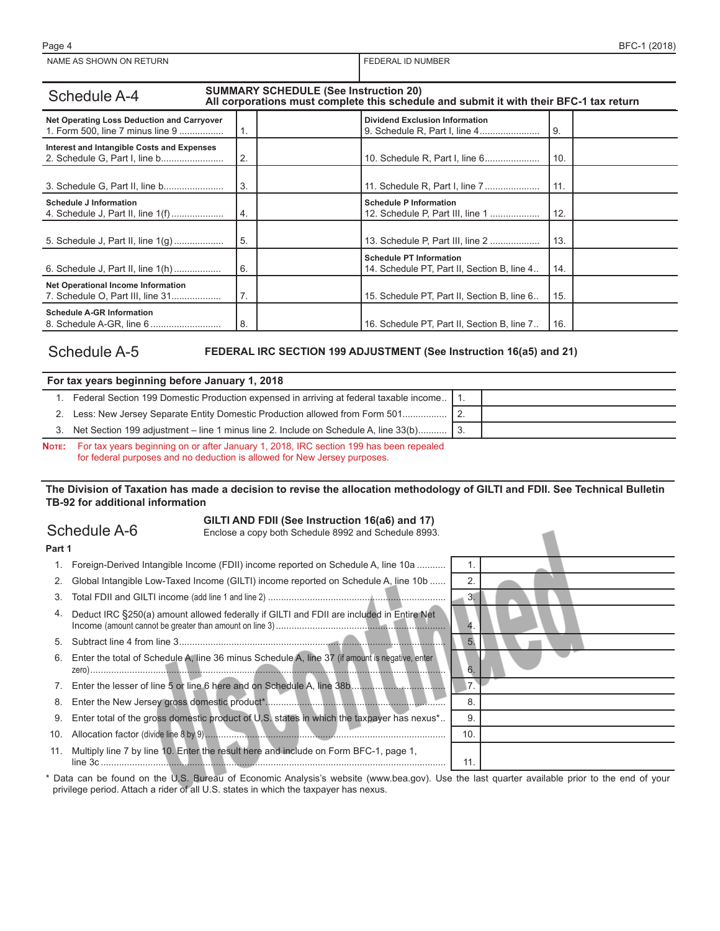| <b>SUMMARY SCHEDULE (See Instruction 20)</b><br><b>Schedule A-4</b><br>All corporations must complete this schedule and submit it with their BFC-1 tax return |    |                                                                               |       |  |  |  |  |  |
|---------------------------------------------------------------------------------------------------------------------------------------------------------------|----|-------------------------------------------------------------------------------|-------|--|--|--|--|--|
| Net Operating Loss Deduction and Carryover<br>1. Form 500, line 7 minus line 9                                                                                | 1. | <b>Dividend Exclusion Information</b><br>9. Schedule R, Part I, line 4        | 9.    |  |  |  |  |  |
| Interest and Intangible Costs and Expenses                                                                                                                    | 2. |                                                                               | 10.   |  |  |  |  |  |
|                                                                                                                                                               | 3. | 11. Schedule R, Part I, line 7                                                | 11.   |  |  |  |  |  |
| <b>Schedule J Information</b><br>4. Schedule J, Part II, line 1(f)                                                                                            | 4. | <b>Schedule P Information</b><br>12. Schedule P, Part III, line 1             | 12.   |  |  |  |  |  |
| 5. Schedule J, Part II, line 1(g)                                                                                                                             | 5. | 13. Schedule P, Part III, line 2                                              | 13.   |  |  |  |  |  |
| 6. Schedule J, Part II, line 1(h)                                                                                                                             | 6. | <b>Schedule PT Information</b><br>14. Schedule PT, Part II, Section B, line 4 | 14.   |  |  |  |  |  |
| Net Operational Income Information<br>7. Schedule O, Part III, line 31                                                                                        | 7. | 15. Schedule PT, Part II, Section B, line 6                                   | 15.   |  |  |  |  |  |
| <b>Schedule A-GR Information</b>                                                                                                                              | 8. | 16. Schedule PT, Part II, Section B, line 7                                   | l 16. |  |  |  |  |  |

### Schedule A-5 **FEDERAL IRC SECTION 199 ADJUSTMENT (See Instruction 16(a5) and 21)**

 $\overline{\phantom{a}}$ 

| For tax years beginning before January 1, 2018                                            |  |
|-------------------------------------------------------------------------------------------|--|
| Federal Section 199 Domestic Production expensed in arriving at federal taxable income 1. |  |
| 2. Less: New Jersey Separate Entity Domestic Production allowed from Form 501             |  |
| 3. Net Section 199 adjustment – line 1 minus line 2. Include on Schedule A, line 33(b) 3. |  |

**Note:** For tax years beginning on or after January 1, 2018, IRC section 199 has been repealed for federal purposes and no deduction is allowed for New Jersey purposes.

**The Division of Taxation has made a decision to revise the allocation methodology of GILTI and FDII. See Technical Bulletin TB-92 for additional information**

# Schedule A-6 **GILTI AND FDII (See Instruction 16(a6) and 17)** Enclose a copy both Schedule 8992 and Schedule 8993.

| Part 1<br>Foreign-Derived Intangible Income (FDII) income reported on Schedule A, line 10a<br>1.<br>$\overline{2}$<br>Global Intangible Low-Taxed Income (GILTI) income reported on Schedule A, line 10b<br>2.<br>3.<br>3.<br>Deduct IRC §250(a) amount allowed federally if GILTI and FDII are included in Entire Net<br>4.<br>4<br>5.<br>5.<br>Enter the total of Schedule A, line 36 minus Schedule A, line 37 (if amount is negative, enter<br>6.<br>6.<br>7.<br>8<br>8.<br>Enter total of the gross domestic product of U.S. states in which the taxpayer has nexus <sup>*</sup><br>9<br>9.<br>10<br>10.<br>Multiply line 7 by line 10. Enter the result here and include on Form BFC-1, page 1,<br>11.<br>11. |  |  |
|---------------------------------------------------------------------------------------------------------------------------------------------------------------------------------------------------------------------------------------------------------------------------------------------------------------------------------------------------------------------------------------------------------------------------------------------------------------------------------------------------------------------------------------------------------------------------------------------------------------------------------------------------------------------------------------------------------------------|--|--|
|                                                                                                                                                                                                                                                                                                                                                                                                                                                                                                                                                                                                                                                                                                                     |  |  |
|                                                                                                                                                                                                                                                                                                                                                                                                                                                                                                                                                                                                                                                                                                                     |  |  |
|                                                                                                                                                                                                                                                                                                                                                                                                                                                                                                                                                                                                                                                                                                                     |  |  |
|                                                                                                                                                                                                                                                                                                                                                                                                                                                                                                                                                                                                                                                                                                                     |  |  |
|                                                                                                                                                                                                                                                                                                                                                                                                                                                                                                                                                                                                                                                                                                                     |  |  |
|                                                                                                                                                                                                                                                                                                                                                                                                                                                                                                                                                                                                                                                                                                                     |  |  |
|                                                                                                                                                                                                                                                                                                                                                                                                                                                                                                                                                                                                                                                                                                                     |  |  |
|                                                                                                                                                                                                                                                                                                                                                                                                                                                                                                                                                                                                                                                                                                                     |  |  |
|                                                                                                                                                                                                                                                                                                                                                                                                                                                                                                                                                                                                                                                                                                                     |  |  |
|                                                                                                                                                                                                                                                                                                                                                                                                                                                                                                                                                                                                                                                                                                                     |  |  |
|                                                                                                                                                                                                                                                                                                                                                                                                                                                                                                                                                                                                                                                                                                                     |  |  |
|                                                                                                                                                                                                                                                                                                                                                                                                                                                                                                                                                                                                                                                                                                                     |  |  |

\* Data can be found on the U.S. Bureau of Economic Analysis's website (www.bea.gov). Use the last quarter available prior to the end of your privilege period. Attach a rider of all U.S. states in which the taxpayer has nexus.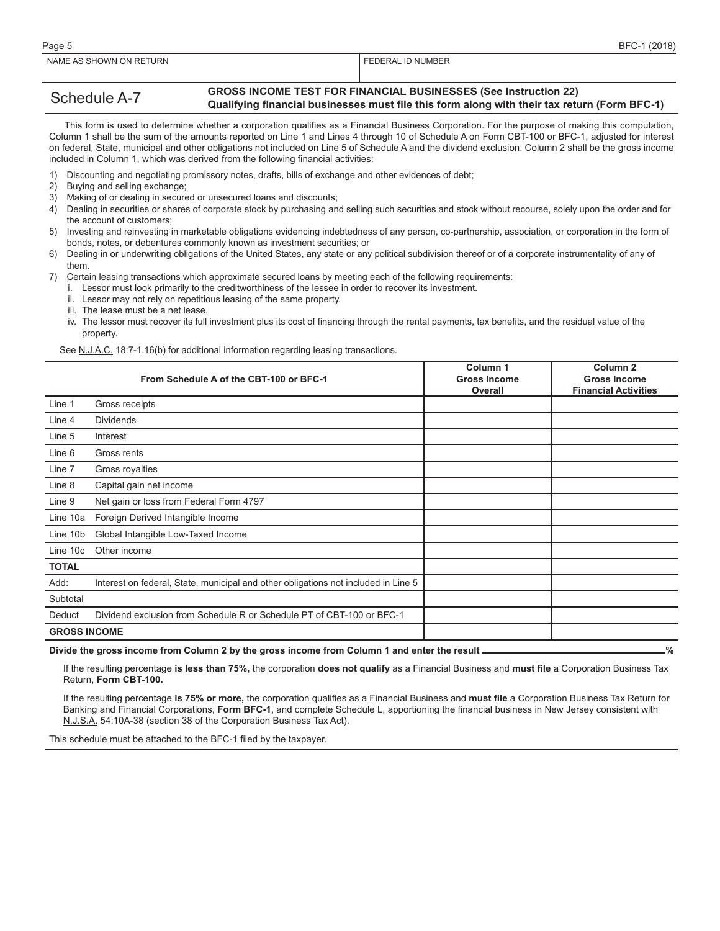#### Schedule A-7 **GROSS INCOME TEST FOR FINANCIAL BUSINESSES (See Instruction 22) Qualifying financial businesses must file this form along with their tax return (Form BFC-1)**

 This form is used to determine whether a corporation qualifies as a Financial Business Corporation. For the purpose of making this computation, Column 1 shall be the sum of the amounts reported on Line 1 and Lines 4 through 10 of Schedule A on Form CBT-100 or BFC-1, adjusted for interest on federal, State, municipal and other obligations not included on Line 5 of Schedule A and the dividend exclusion. Column 2 shall be the gross income included in Column 1, which was derived from the following financial activities:

- 1) Discounting and negotiating promissory notes, drafts, bills of exchange and other evidences of debt;
- 2) Buying and selling exchange;
- 3) Making of or dealing in secured or unsecured loans and discounts;
- 4) Dealing in securities or shares of corporate stock by purchasing and selling such securities and stock without recourse, solely upon the order and for the account of customers;
- 5) Investing and reinvesting in marketable obligations evidencing indebtedness of any person, co-partnership, association, or corporation in the form of bonds, notes, or debentures commonly known as investment securities; or
- 6) Dealing in or underwriting obligations of the United States, any state or any political subdivision thereof or of a corporate instrumentality of any of them.

7) Certain leasing transactions which approximate secured loans by meeting each of the following requirements:

i. Lessor must look primarily to the creditworthiness of the lessee in order to recover its investment.

- ii. Lessor may not rely on repetitious leasing of the same property.
- iii. The lease must be a net lease.
- iv. The lessor must recover its full investment plus its cost of financing through the rental payments, tax benefits, and the residual value of the property.

See N.J.A.C. 18:7-1.16(b) for additional information regarding leasing transactions.

|                     | From Schedule A of the CBT-100 or BFC-1                                            | Column 1<br><b>Gross Income</b><br><b>Overall</b> | Column <sub>2</sub><br><b>Gross Income</b><br><b>Financial Activities</b> |
|---------------------|------------------------------------------------------------------------------------|---------------------------------------------------|---------------------------------------------------------------------------|
| Line 1              | Gross receipts                                                                     |                                                   |                                                                           |
| Line 4              | <b>Dividends</b>                                                                   |                                                   |                                                                           |
| Line 5              | Interest                                                                           |                                                   |                                                                           |
| Line 6              | Gross rents                                                                        |                                                   |                                                                           |
| Line 7              | Gross royalties                                                                    |                                                   |                                                                           |
| Line 8              | Capital gain net income                                                            |                                                   |                                                                           |
| Line 9              | Net gain or loss from Federal Form 4797                                            |                                                   |                                                                           |
| Line 10a            | Foreign Derived Intangible Income                                                  |                                                   |                                                                           |
| Line 10b            | Global Intangible Low-Taxed Income                                                 |                                                   |                                                                           |
| Line 10c            | Other income                                                                       |                                                   |                                                                           |
| <b>TOTAL</b>        |                                                                                    |                                                   |                                                                           |
| Add:                | Interest on federal, State, municipal and other obligations not included in Line 5 |                                                   |                                                                           |
| Subtotal            |                                                                                    |                                                   |                                                                           |
| Deduct              | Dividend exclusion from Schedule R or Schedule PT of CBT-100 or BFC-1              |                                                   |                                                                           |
| <b>GROSS INCOME</b> |                                                                                    |                                                   |                                                                           |

Divide the gross income from Column 2 by the gross income from Column 1 and enter the result **contained and the strategy** %

If the resulting percentage **is less than 75%,** the corporation **does not qualify** as a Financial Business and **must file** a Corporation Business Tax Return, **Form CBT-100.**

If the resulting percentage **is 75% or more,** the corporation qualifies as a Financial Business and **must file** a Corporation Business Tax Return for Banking and Financial Corporations, **Form BFC-1**, and complete Schedule L, apportioning the financial business in New Jersey consistent with N.J.S.A. 54:10A-38 (section 38 of the Corporation Business Tax Act).

This schedule must be attached to the BFC-1 filed by the taxpayer.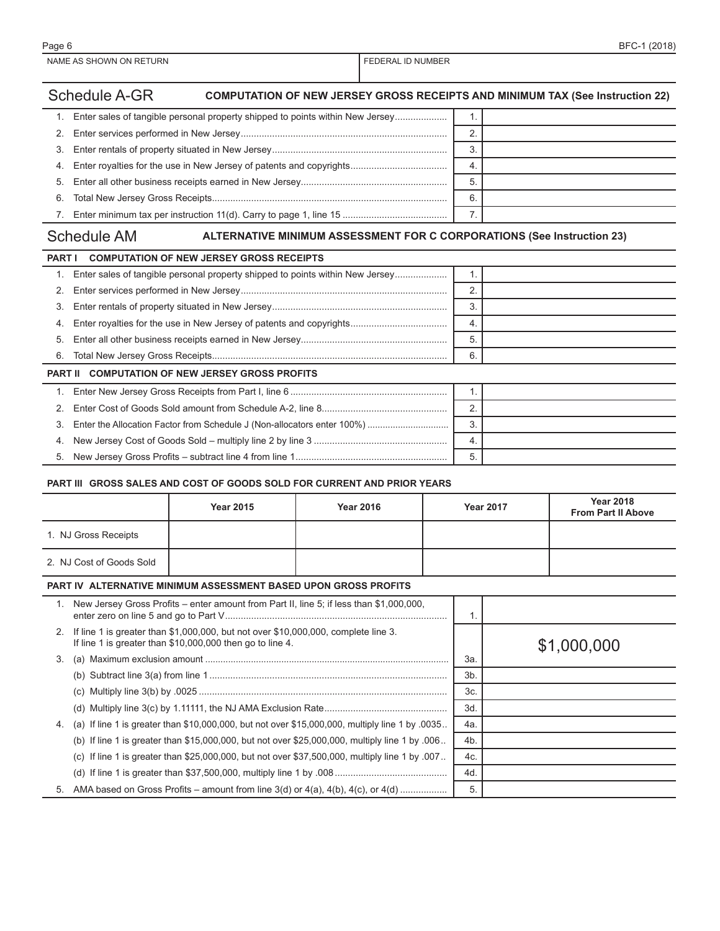## Schedule A-GR **COMPUTATION OF NEW JERSEY GROSS RECEIPTS AND MINIMUM TAX (See Instruction 22)**

|    | 1. Enter sales of tangible personal property shipped to points within New Jersey | 1.               |  |
|----|----------------------------------------------------------------------------------|------------------|--|
|    |                                                                                  | ◠                |  |
|    |                                                                                  | 3                |  |
|    |                                                                                  | $\overline{4}$ . |  |
|    |                                                                                  | 5                |  |
|    |                                                                                  | 6.               |  |
| 7. |                                                                                  |                  |  |

|  |  | <b>Schedule AM</b> |  |  |
|--|--|--------------------|--|--|
|--|--|--------------------|--|--|

### **ALTERNATIVE MINIMUM ASSESSMENT FOR C CORPORATIONS (See Instruction 23)**

| <b>PART I</b> | <b>COMPUTATION OF NEW JERSEY GROSS RECEIPTS</b>                               |                |  |
|---------------|-------------------------------------------------------------------------------|----------------|--|
| 1.            | Enter sales of tangible personal property shipped to points within New Jersey |                |  |
| 2.            |                                                                               | 2              |  |
| 3.            |                                                                               | 3              |  |
| 4.            |                                                                               | 4.             |  |
| 5.            |                                                                               | 5.             |  |
| 6.            |                                                                               | 6.             |  |
|               | <b>PART II COMPUTATION OF NEW JERSEY GROSS PROFITS</b>                        |                |  |
|               |                                                                               |                |  |
| 2.            |                                                                               | $\overline{2}$ |  |
| 3.            |                                                                               | 3              |  |
| 4.            |                                                                               | -4.            |  |
| 5.            |                                                                               | 5.             |  |

#### **PART III GROSS SALES AND COST OF GOODS SOLD FOR CURRENT AND PRIOR YEARS**

|    |                          | <b>Year 2015</b>                                                                                                                                | <b>Year 2016</b> |     | <b>Year 2017</b> | <b>Year 2018</b><br><b>From Part II Above</b> |
|----|--------------------------|-------------------------------------------------------------------------------------------------------------------------------------------------|------------------|-----|------------------|-----------------------------------------------|
|    | 1. NJ Gross Receipts     |                                                                                                                                                 |                  |     |                  |                                               |
|    | 2. NJ Cost of Goods Sold |                                                                                                                                                 |                  |     |                  |                                               |
|    |                          | <b>PART IV ALTERNATIVE MINIMUM ASSESSMENT BASED UPON GROSS PROFITS</b>                                                                          |                  |     |                  |                                               |
| 1. |                          | New Jersey Gross Profits – enter amount from Part II, line 5; if less than \$1,000,000,                                                         |                  |     | 1.               |                                               |
| 2. |                          | If line 1 is greater than \$1,000,000, but not over \$10,000,000, complete line 3.<br>If line 1 is greater than \$10,000,000 then go to line 4. |                  |     |                  | \$1,000,000                                   |
| 3. |                          |                                                                                                                                                 |                  | За. |                  |                                               |
|    |                          |                                                                                                                                                 |                  |     | 3b.              |                                               |
|    |                          |                                                                                                                                                 |                  |     | 3c.              |                                               |
|    |                          |                                                                                                                                                 |                  |     | 3d.              |                                               |
| 4. |                          | (a) If line 1 is greater than $$10,000,000$ , but not over $$15,000,000$ , multiply line 1 by 0035.                                             |                  |     | 4a.              |                                               |
|    |                          | (b) If line 1 is greater than \$15,000,000, but not over \$25,000,000, multiply line 1 by .006.                                                 |                  | 4b. |                  |                                               |
|    |                          | (c) If line 1 is greater than \$25,000,000, but not over \$37,500,000, multiply line 1 by .007.                                                 |                  |     | 4c.              |                                               |
|    |                          |                                                                                                                                                 |                  | 4d. |                  |                                               |
|    |                          |                                                                                                                                                 |                  |     | 5.               |                                               |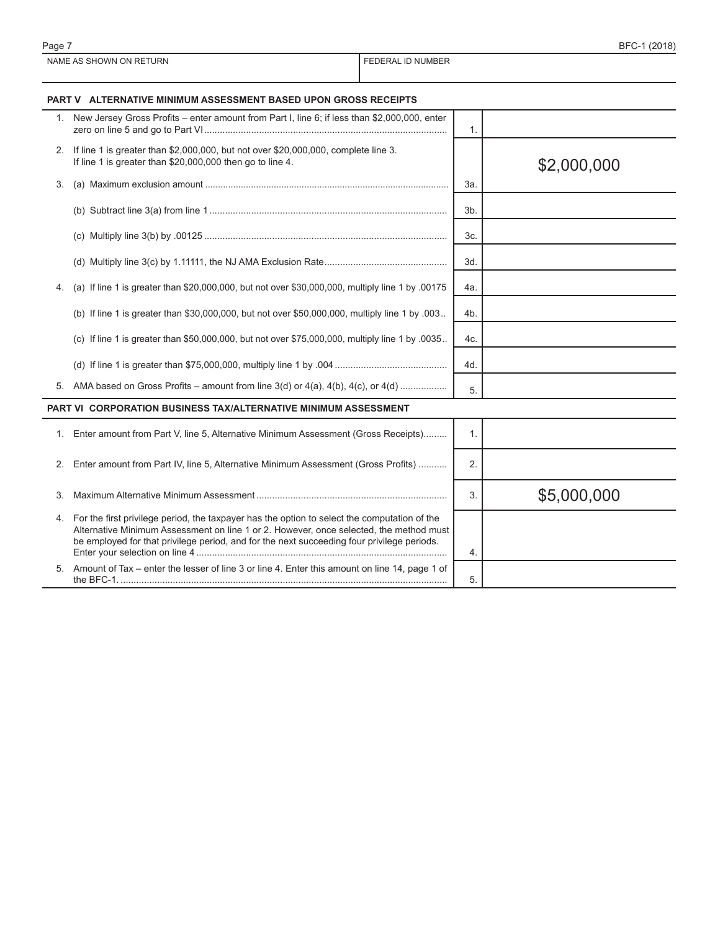|    | <b>PART V ALTERNATIVE MINIMUM ASSESSMENT BASED UPON GROSS RECEIPTS</b>                                                                                                                                                                                                                  |     |             |
|----|-----------------------------------------------------------------------------------------------------------------------------------------------------------------------------------------------------------------------------------------------------------------------------------------|-----|-------------|
|    | 1. New Jersey Gross Profits - enter amount from Part I, line 6; if less than \$2,000,000, enter                                                                                                                                                                                         | 1.  |             |
|    | 2. If line 1 is greater than \$2,000,000, but not over \$20,000,000, complete line 3.<br>If line 1 is greater than \$20,000,000 then go to line 4.                                                                                                                                      |     | \$2,000,000 |
| 3. |                                                                                                                                                                                                                                                                                         | За. |             |
|    |                                                                                                                                                                                                                                                                                         | 3b. |             |
|    |                                                                                                                                                                                                                                                                                         | 3c. |             |
|    |                                                                                                                                                                                                                                                                                         | 3d. |             |
| 4. | (a) If line 1 is greater than \$20,000,000, but not over \$30,000,000, multiply line 1 by .00175                                                                                                                                                                                        | 4a. |             |
|    | (b) If line 1 is greater than \$30,000,000, but not over \$50,000,000, multiply line 1 by .003                                                                                                                                                                                          | 4b. |             |
|    | (c) If line 1 is greater than \$50,000,000, but not over \$75,000,000, multiply line 1 by .0035                                                                                                                                                                                         | 4c. |             |
|    |                                                                                                                                                                                                                                                                                         | 4d. |             |
|    |                                                                                                                                                                                                                                                                                         | 5.  |             |
|    | PART VI CORPORATION BUSINESS TAX/ALTERNATIVE MINIMUM ASSESSMENT                                                                                                                                                                                                                         |     |             |
| 1. | Enter amount from Part V, line 5, Alternative Minimum Assessment (Gross Receipts)                                                                                                                                                                                                       | 1.  |             |
| 2. | Enter amount from Part IV, line 5, Alternative Minimum Assessment (Gross Profits)                                                                                                                                                                                                       | 2.  |             |
| 3. |                                                                                                                                                                                                                                                                                         | 3.  | \$5,000,000 |
|    | 4. For the first privilege period, the taxpayer has the option to select the computation of the<br>Alternative Minimum Assessment on line 1 or 2. However, once selected, the method must<br>be employed for that privilege period, and for the next succeeding four privilege periods. | 4.  |             |
|    | 5. Amount of Tax - enter the lesser of line 3 or line 4. Enter this amount on line 14, page 1 of                                                                                                                                                                                        | 5.  |             |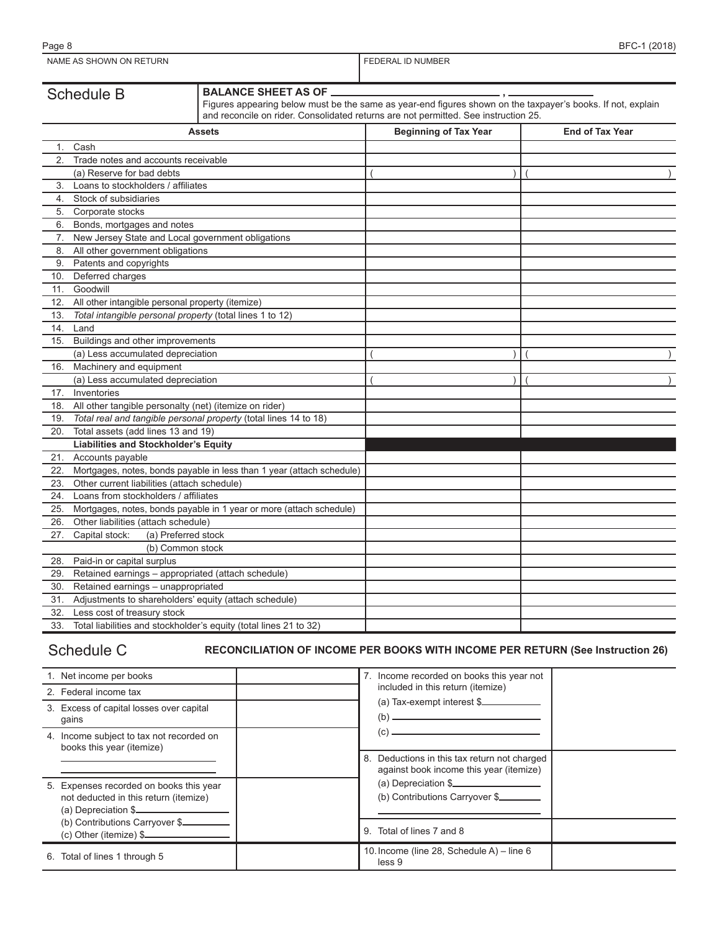| Schedule B | <b>I BALANCE SHEET AS OF .</b>                                                                              |
|------------|-------------------------------------------------------------------------------------------------------------|
|            | Figures appearing below must be the same as year-end figures shown on the taxpayer's books. If not, explain |
|            | and reconcile on rider. Consolidated returns are not permitted. See instruction 25.                         |

|     | <b>Assets</b>                                                         | <b>Beginning of Tax Year</b> | <b>End of Tax Year</b> |
|-----|-----------------------------------------------------------------------|------------------------------|------------------------|
| 1.  | Cash                                                                  |                              |                        |
| 2.  | Trade notes and accounts receivable                                   |                              |                        |
|     | (a) Reserve for bad debts                                             |                              |                        |
| 3.  | Loans to stockholders / affiliates                                    |                              |                        |
| 4.  | Stock of subsidiaries                                                 |                              |                        |
| 5.  | Corporate stocks                                                      |                              |                        |
| 6.  | Bonds, mortgages and notes                                            |                              |                        |
| 7.  | New Jersey State and Local government obligations                     |                              |                        |
| 8.  | All other government obligations                                      |                              |                        |
| 9.  | Patents and copyrights                                                |                              |                        |
| 10. | Deferred charges                                                      |                              |                        |
| 11. | Goodwill                                                              |                              |                        |
| 12. | All other intangible personal property (itemize)                      |                              |                        |
| 13. | Total intangible personal property (total lines 1 to 12)              |                              |                        |
| 14. | Land                                                                  |                              |                        |
| 15. | Buildings and other improvements                                      |                              |                        |
|     | (a) Less accumulated depreciation                                     |                              |                        |
| 16. | Machinery and equipment                                               |                              |                        |
|     | (a) Less accumulated depreciation                                     |                              |                        |
| 17. | Inventories                                                           |                              |                        |
| 18. | All other tangible personalty (net) (itemize on rider)                |                              |                        |
| 19. | Total real and tangible personal property (total lines 14 to 18)      |                              |                        |
| 20. | Total assets (add lines 13 and 19)                                    |                              |                        |
|     | <b>Liabilities and Stockholder's Equity</b>                           |                              |                        |
| 21. | Accounts payable                                                      |                              |                        |
| 22. | Mortgages, notes, bonds payable in less than 1 year (attach schedule) |                              |                        |
| 23. | Other current liabilities (attach schedule)                           |                              |                        |
| 24. | Loans from stockholders / affiliates                                  |                              |                        |
| 25. | Mortgages, notes, bonds payable in 1 year or more (attach schedule)   |                              |                        |
| 26. | Other liabilities (attach schedule)                                   |                              |                        |
| 27. | (a) Preferred stock<br>Capital stock:                                 |                              |                        |
|     | (b) Common stock                                                      |                              |                        |
| 28. | Paid-in or capital surplus                                            |                              |                        |
| 29. | Retained earnings - appropriated (attach schedule)                    |                              |                        |
| 30. | Retained earnings - unappropriated                                    |                              |                        |
| 31. | Adjustments to shareholders' equity (attach schedule)                 |                              |                        |
| 32. | Less cost of treasury stock                                           |                              |                        |
| 33. | Total liabilities and stockholder's equity (total lines 21 to 32)     |                              |                        |

## Schedule C **RECONCILIATION OF INCOME PER BOOKS WITH INCOME PER RETURN (See Instruction 26)**

| 1. Net income per books                                                                                 |    | 7. Income recorded on books this year not                                            |  |
|---------------------------------------------------------------------------------------------------------|----|--------------------------------------------------------------------------------------|--|
| 2. Federal income tax                                                                                   |    | included in this return (itemize)                                                    |  |
| 3. Excess of capital losses over capital<br>qains                                                       |    | (a) Tax-exempt interest \$<br>(b)                                                    |  |
| 4. Income subject to tax not recorded on<br>books this year (itemize)                                   |    | (c)                                                                                  |  |
|                                                                                                         | 8. | Deductions in this tax return not charged<br>against book income this year (itemize) |  |
| 5. Expenses recorded on books this year<br>not deducted in this return (itemize)<br>(a) Depreciation \$ |    | (a) Depreciation \$<br>(b) Contributions Carryover \$                                |  |
| (b) Contributions Carryover \$<br>$(c)$ Other (itemize) $\frac{c}{c}$                                   |    | Total of lines 7 and 8<br>9                                                          |  |
| Total of lines 1 through 5<br>6.                                                                        |    | 10. Income (line 28, Schedule A) – line 6<br>less 9                                  |  |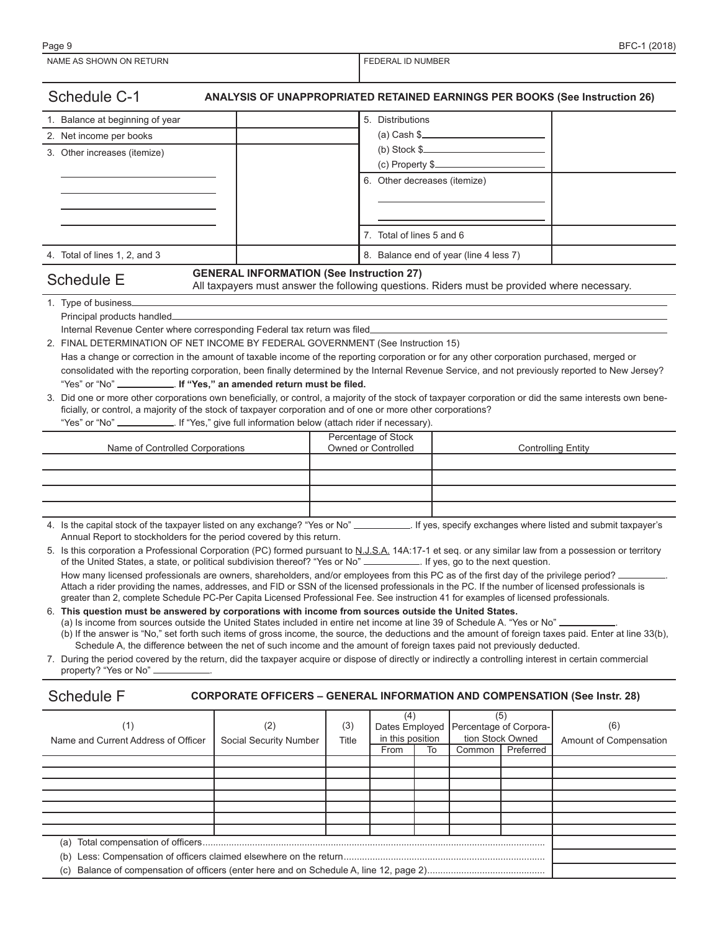| Schedule C-1<br>ANALYSIS OF UNAPPROPRIATED RETAINED EARNINGS PER BOOKS (See Instruction 26)                                                                                                                                                                                          |                                                                                                                                                |       |                              |    |                                        |                               |                        |  |
|--------------------------------------------------------------------------------------------------------------------------------------------------------------------------------------------------------------------------------------------------------------------------------------|------------------------------------------------------------------------------------------------------------------------------------------------|-------|------------------------------|----|----------------------------------------|-------------------------------|------------------------|--|
| 1. Balance at beginning of year                                                                                                                                                                                                                                                      |                                                                                                                                                |       | 5. Distributions             |    |                                        |                               |                        |  |
| 2. Net income per books                                                                                                                                                                                                                                                              |                                                                                                                                                |       |                              |    | $(a)$ Cash \$                          |                               |                        |  |
| 3. Other increases (itemize)                                                                                                                                                                                                                                                         |                                                                                                                                                |       |                              |    |                                        |                               |                        |  |
|                                                                                                                                                                                                                                                                                      |                                                                                                                                                |       |                              |    | $(c)$ Property \$                      |                               |                        |  |
|                                                                                                                                                                                                                                                                                      |                                                                                                                                                |       | 6. Other decreases (itemize) |    |                                        |                               |                        |  |
|                                                                                                                                                                                                                                                                                      |                                                                                                                                                |       |                              |    |                                        |                               |                        |  |
|                                                                                                                                                                                                                                                                                      |                                                                                                                                                |       |                              |    |                                        |                               |                        |  |
|                                                                                                                                                                                                                                                                                      |                                                                                                                                                |       | 7. Total of lines 5 and 6    |    |                                        |                               |                        |  |
| 4. Total of lines 1, 2, and 3                                                                                                                                                                                                                                                        |                                                                                                                                                |       |                              |    | 8. Balance end of year (line 4 less 7) |                               |                        |  |
| <b>Schedule E</b>                                                                                                                                                                                                                                                                    | <b>GENERAL INFORMATION (See Instruction 27)</b><br>All taxpayers must answer the following questions. Riders must be provided where necessary. |       |                              |    |                                        |                               |                        |  |
| 1. Type of business_                                                                                                                                                                                                                                                                 |                                                                                                                                                |       |                              |    |                                        |                               |                        |  |
|                                                                                                                                                                                                                                                                                      |                                                                                                                                                |       |                              |    |                                        |                               |                        |  |
| Internal Revenue Center where corresponding Federal tax return was filed.                                                                                                                                                                                                            |                                                                                                                                                |       |                              |    |                                        |                               |                        |  |
| 2. FINAL DETERMINATION OF NET INCOME BY FEDERAL GOVERNMENT (See Instruction 15)<br>Has a change or correction in the amount of taxable income of the reporting corporation or for any other corporation purchased, merged or                                                         |                                                                                                                                                |       |                              |    |                                        |                               |                        |  |
| consolidated with the reporting corporation, been finally determined by the Internal Revenue Service, and not previously reported to New Jersey?                                                                                                                                     |                                                                                                                                                |       |                              |    |                                        |                               |                        |  |
| "Yes" or "No" ____________. If "Yes," an amended return must be filed.                                                                                                                                                                                                               |                                                                                                                                                |       |                              |    |                                        |                               |                        |  |
| 3. Did one or more other corporations own beneficially, or control, a majority of the stock of taxpayer corporation or did the same interests own bene-                                                                                                                              |                                                                                                                                                |       |                              |    |                                        |                               |                        |  |
| ficially, or control, a majority of the stock of taxpayer corporation and of one or more other corporations?                                                                                                                                                                         |                                                                                                                                                |       |                              |    |                                        |                               |                        |  |
| "Yes" or "No" ______________. If "Yes," give full information below (attach rider if necessary).                                                                                                                                                                                     |                                                                                                                                                |       | Percentage of Stock          |    |                                        |                               |                        |  |
| Name of Controlled Corporations                                                                                                                                                                                                                                                      |                                                                                                                                                |       | Owned or Controlled          |    | <b>Controlling Entity</b>              |                               |                        |  |
|                                                                                                                                                                                                                                                                                      |                                                                                                                                                |       |                              |    |                                        |                               |                        |  |
|                                                                                                                                                                                                                                                                                      |                                                                                                                                                |       |                              |    |                                        |                               |                        |  |
|                                                                                                                                                                                                                                                                                      |                                                                                                                                                |       |                              |    |                                        |                               |                        |  |
|                                                                                                                                                                                                                                                                                      |                                                                                                                                                |       |                              |    |                                        |                               |                        |  |
| 4. Is the capital stock of the taxpayer listed on any exchange? "Yes or No" _____________. If yes, specify exchanges where listed and submit taxpayer's<br>Annual Report to stockholders for the period covered by this return.                                                      |                                                                                                                                                |       |                              |    |                                        |                               |                        |  |
| 5. Is this corporation a Professional Corporation (PC) formed pursuant to N.J.S.A. 14A:17-1 et seq. or any similar law from a possession or territory<br>of the United States, a state, or political subdivision thereof? "Yes or No" ____________. If yes, go to the next question. |                                                                                                                                                |       |                              |    |                                        |                               |                        |  |
| How many licensed professionals are owners, shareholders, and/or employees from this PC as of the first day of the privilege period?                                                                                                                                                 |                                                                                                                                                |       |                              |    |                                        |                               |                        |  |
| Attach a rider providing the names, addresses, and FID or SSN of the licensed professionals in the PC. If the number of licensed professionals is                                                                                                                                    |                                                                                                                                                |       |                              |    |                                        |                               |                        |  |
| greater than 2, complete Schedule PC-Per Capita Licensed Professional Fee. See instruction 41 for examples of licensed professionals.<br>6. This question must be answered by corporations with income from sources outside the United States.                                       |                                                                                                                                                |       |                              |    |                                        |                               |                        |  |
| (a) Is income from sources outside the United States included in entire net income at line 39 of Schedule A. "Yes or No"                                                                                                                                                             |                                                                                                                                                |       |                              |    |                                        |                               |                        |  |
| (b) If the answer is "No," set forth such items of gross income, the source, the deductions and the amount of foreign taxes paid. Enter at line 33(b),                                                                                                                               |                                                                                                                                                |       |                              |    |                                        |                               |                        |  |
| Schedule A, the difference between the net of such income and the amount of foreign taxes paid not previously deducted.<br>7. During the period covered by the return, did the taxpayer acquire or dispose of directly or indirectly a controlling interest in certain commercial    |                                                                                                                                                |       |                              |    |                                        |                               |                        |  |
| property? "Yes or No"                                                                                                                                                                                                                                                                |                                                                                                                                                |       |                              |    |                                        |                               |                        |  |
|                                                                                                                                                                                                                                                                                      |                                                                                                                                                |       |                              |    |                                        |                               |                        |  |
| <b>Schedule F</b>                                                                                                                                                                                                                                                                    | <b>CORPORATE OFFICERS - GENERAL INFORMATION AND COMPENSATION (See Instr. 28)</b>                                                               |       |                              |    |                                        |                               |                        |  |
| (1)                                                                                                                                                                                                                                                                                  | (2)                                                                                                                                            | (3)   | (4)<br>Dates Employed        |    |                                        | (5)<br>Percentage of Corpora- | (6)                    |  |
| Name and Current Address of Officer                                                                                                                                                                                                                                                  | Social Security Number                                                                                                                         | Title | in this position             |    |                                        | tion Stock Owned              | Amount of Compensation |  |
|                                                                                                                                                                                                                                                                                      |                                                                                                                                                |       | From                         | To | Common                                 | Preferred                     |                        |  |
|                                                                                                                                                                                                                                                                                      |                                                                                                                                                |       |                              |    |                                        |                               |                        |  |
|                                                                                                                                                                                                                                                                                      |                                                                                                                                                |       |                              |    |                                        |                               |                        |  |
|                                                                                                                                                                                                                                                                                      |                                                                                                                                                |       |                              |    |                                        |                               |                        |  |
|                                                                                                                                                                                                                                                                                      |                                                                                                                                                |       |                              |    |                                        |                               |                        |  |
|                                                                                                                                                                                                                                                                                      |                                                                                                                                                |       |                              |    |                                        |                               |                        |  |
|                                                                                                                                                                                                                                                                                      |                                                                                                                                                |       |                              |    |                                        |                               |                        |  |

(b) Less: Compensation of officers claimed elsewhere on the return.............................................................................

(c) Balance of compensation of officers (enter here and on Schedule A, line 12, page 2).............................................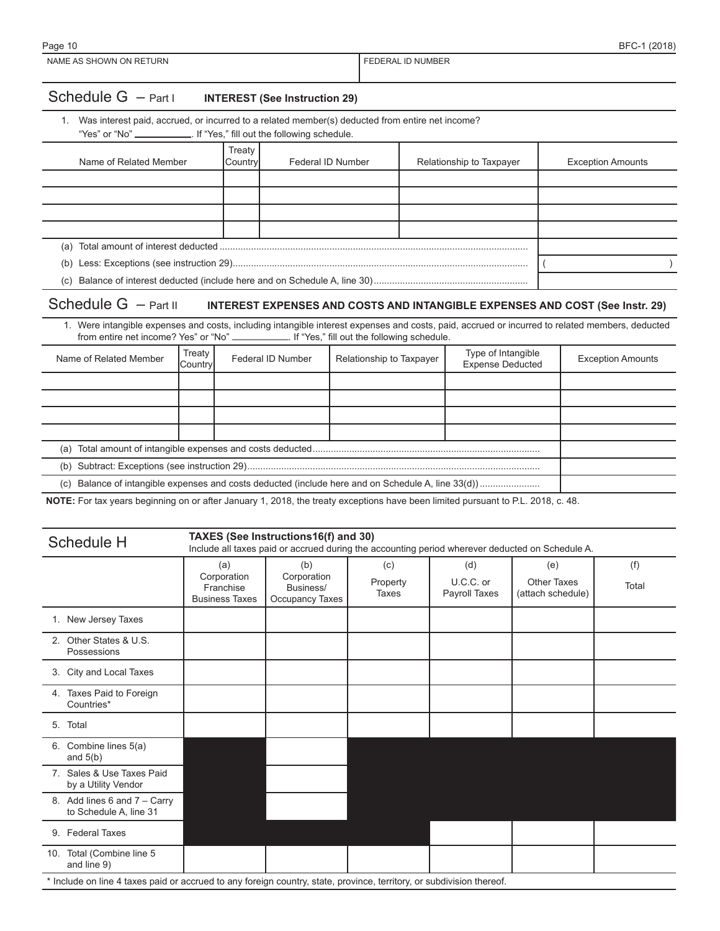1. Was interest paid, accrued, or incurred to a related member(s) deducted from entire net income? "Yes" or "No" \_\_\_\_\_\_\_\_\_\_\_\_. If "Yes," fill out the following schedule.

| Name of Related Member | Treaty<br> Countrvl | Federal ID Number | Relationship to Taxpayer | <b>Exception Amounts</b> |
|------------------------|---------------------|-------------------|--------------------------|--------------------------|
|                        |                     |                   |                          |                          |
|                        |                     |                   |                          |                          |
|                        |                     |                   |                          |                          |
|                        |                     |                   |                          |                          |
|                        |                     |                   |                          |                          |
| (b)                    |                     |                   |                          |                          |
|                        |                     |                   |                          |                          |

## Schedule G – Part II **INTEREST EXPENSES AND COSTS AND INTANGIBLE EXPENSES AND COST (See Instr. 29)**

1. Were intangible expenses and costs, including intangible interest expenses and costs, paid, accrued or incurred to related members, deducted from entire net income? Yes" or "No" \_\_\_\_\_\_\_\_\_\_\_\_\_. If "Yes," fill out the fol from entire net income? Yes" or "No" . If "Yes," fill out the following schedule.

| Name of Related Member | Treaty<br>Country | Federal ID Number | Relationship to Taxpayer | Type of Intangible<br>Expense Deducted | <b>Exception Amounts</b> |  |
|------------------------|-------------------|-------------------|--------------------------|----------------------------------------|--------------------------|--|
|                        |                   |                   |                          |                                        |                          |  |
|                        |                   |                   |                          |                                        |                          |  |
|                        |                   |                   |                          |                                        |                          |  |
|                        |                   |                   |                          |                                        |                          |  |
| (a)                    |                   |                   |                          |                                        |                          |  |
|                        |                   |                   |                          |                                        |                          |  |
| (C)                    |                   |                   |                          |                                        |                          |  |

**NOTE:** For tax years beginning on or after January 1, 2018, the treaty exceptions have been limited pursuant to P.L. 2018, c. 48.

| Schedule H                                                                                                            | TAXES (See Instructions16(f) and 30)<br>Include all taxes paid or accrued during the accounting period wherever deducted on Schedule A. |                                                    |                          |                                   |                                                |              |  |
|-----------------------------------------------------------------------------------------------------------------------|-----------------------------------------------------------------------------------------------------------------------------------------|----------------------------------------------------|--------------------------|-----------------------------------|------------------------------------------------|--------------|--|
|                                                                                                                       | (a)<br>Corporation<br>Franchise<br><b>Business Taxes</b>                                                                                | (b)<br>Corporation<br>Business/<br>Occupancy Taxes | (c)<br>Property<br>Taxes | (d)<br>U.C.C. or<br>Payroll Taxes | (e)<br><b>Other Taxes</b><br>(attach schedule) | (f)<br>Total |  |
| 1. New Jersey Taxes                                                                                                   |                                                                                                                                         |                                                    |                          |                                   |                                                |              |  |
| 2. Other States & U.S.<br>Possessions                                                                                 |                                                                                                                                         |                                                    |                          |                                   |                                                |              |  |
| 3. City and Local Taxes                                                                                               |                                                                                                                                         |                                                    |                          |                                   |                                                |              |  |
| 4. Taxes Paid to Foreign<br>Countries*                                                                                |                                                                                                                                         |                                                    |                          |                                   |                                                |              |  |
| 5. Total                                                                                                              |                                                                                                                                         |                                                    |                          |                                   |                                                |              |  |
| 6. Combine lines 5(a)<br>and $5(b)$                                                                                   |                                                                                                                                         |                                                    |                          |                                   |                                                |              |  |
| 7. Sales & Use Taxes Paid<br>by a Utility Vendor                                                                      |                                                                                                                                         |                                                    |                          |                                   |                                                |              |  |
| 8. Add lines 6 and 7 - Carry<br>to Schedule A, line 31                                                                |                                                                                                                                         |                                                    |                          |                                   |                                                |              |  |
| 9. Federal Taxes                                                                                                      |                                                                                                                                         |                                                    |                          |                                   |                                                |              |  |
| 10. Total (Combine line 5<br>and line 9)                                                                              |                                                                                                                                         |                                                    |                          |                                   |                                                |              |  |
| * Include on line 4 taxes paid or accrued to any foreign country, state, province, territory, or subdivision thereof. |                                                                                                                                         |                                                    |                          |                                   |                                                |              |  |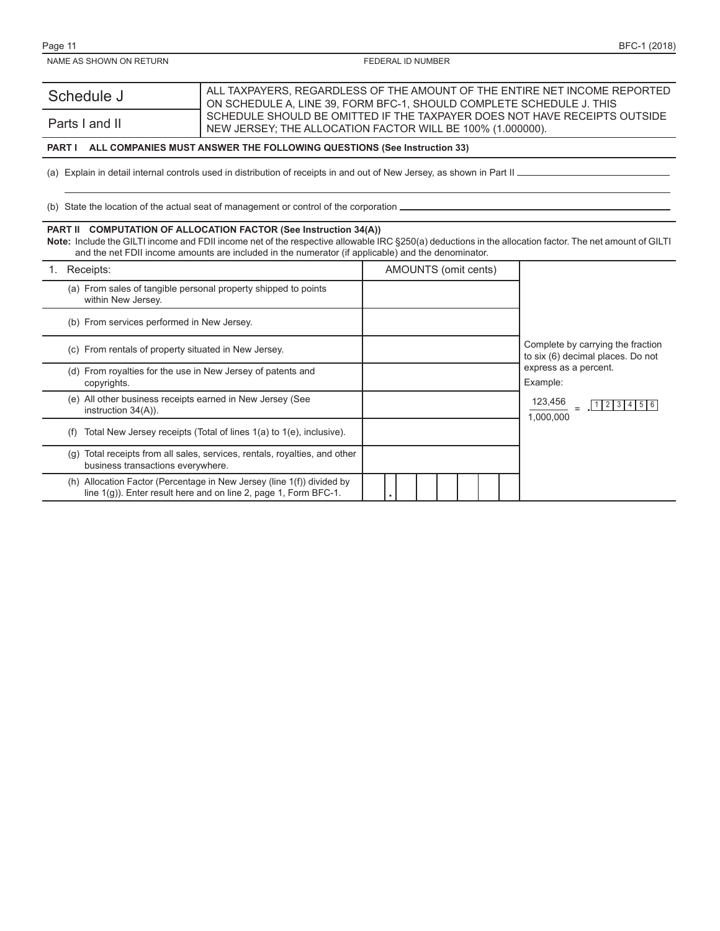| Schedule J     | ALL TAXPAYERS. REGARDLESS OF THE AMOUNT OF THE ENTIRE NET INCOME REPORTED |
|----------------|---------------------------------------------------------------------------|
|                | ON SCHEDULE A. LINE 39. FORM BFC-1. SHOULD COMPLETE SCHEDULE J. THIS      |
|                | SCHEDULE SHOULD BE OMITTED IF THE TAXPAYER DOES NOT HAVE RECEIPTS OUTSIDE |
| Parts I and II | NEW JERSEY: THE ALLOCATION FACTOR WILL BE 100% (1.000000).                |

#### **PART I ALL COMPANIES MUST ANSWER THE FOLLOWING QUESTIONS (See Instruction 33)**

(a) Explain in detail internal controls used in distribution of receipts in and out of New Jersey, as shown in Part II \_

(b) State the location of the actual seat of management or control of the corporation

#### **PART II COMPUTATION OF ALLOCATION FACTOR (See Instruction 34(A))**

Note: Include the GILTI income and FDII income net of the respective allowable IRC §250(a) deductions in the allocation factor. The net amount of GILTI and the net FDII income amounts are included in the numerator (if applicable) and the denominator.

| Receipts:                                                                                                                                     | AMOUNTS (omit cents)                                                   |
|-----------------------------------------------------------------------------------------------------------------------------------------------|------------------------------------------------------------------------|
| (a) From sales of tangible personal property shipped to points<br>within New Jersey.                                                          |                                                                        |
| (b) From services performed in New Jersey.                                                                                                    |                                                                        |
| (c) From rentals of property situated in New Jersey.                                                                                          | Complete by carrying the fraction<br>to six (6) decimal places. Do not |
| (d) From royalties for the use in New Jersey of patents and<br>copyrights.                                                                    | express as a percent.<br>Example:                                      |
| All other business receipts earned in New Jersey (See<br>(e)<br>instruction $34(A)$ ).                                                        | 123,456<br>1 2 3 <br>$14$   5   6<br>1.000.000                         |
| Total New Jersey receipts (Total of lines 1(a) to 1(e), inclusive).<br>(t)                                                                    |                                                                        |
| Total receipts from all sales, services, rentals, royalties, and other<br>(g)<br>business transactions everywhere.                            |                                                                        |
| Allocation Factor (Percentage in New Jersey (line 1(f)) divided by<br>(h)<br>line 1(g)). Enter result here and on line 2, page 1, Form BFC-1. |                                                                        |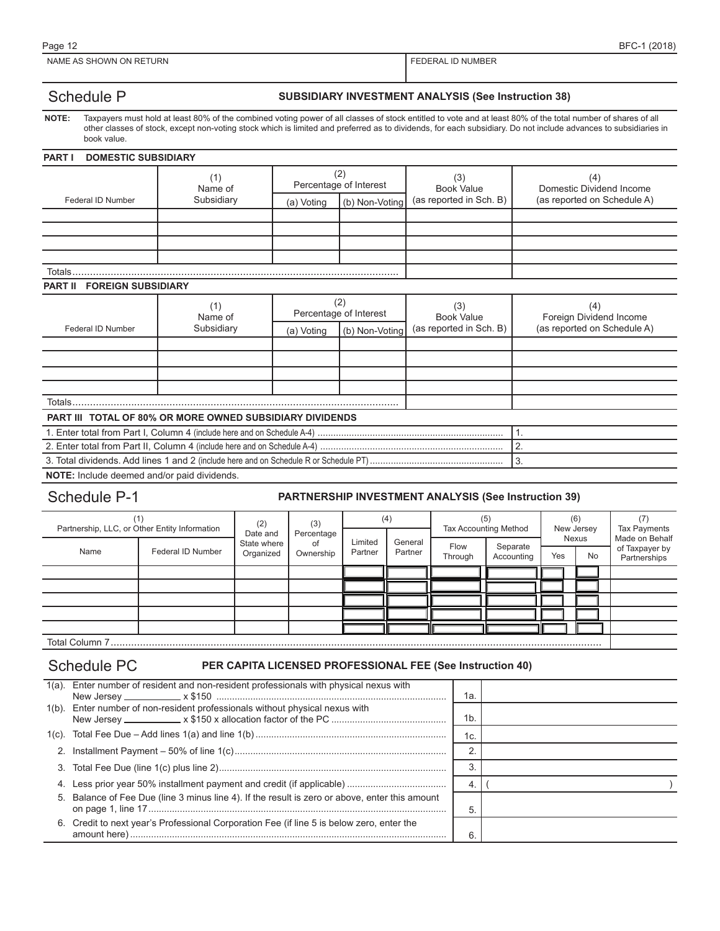### Schedule P **SUBSIDIARY INVESTMENT ANALYSIS** (See Instruction 38)

**NOTE:** Taxpayers must hold at least 80% of the combined voting power of all classes of stock entitled to vote and at least 80% of the total number of shares of all other classes of stock, except non-voting stock which is limited and preferred as to dividends, for each subsidiary. Do not include advances to subsidiaries in book value.

#### **PART I DOMESTIC SUBSIDIARY**

|                                             | (1)<br>Name of                                                  | (2)<br>Percentage of Interest                                 |                | (3)<br><b>Book Value</b> | (4)<br>Domestic Dividend Income                               |  |  |  |  |
|---------------------------------------------|-----------------------------------------------------------------|---------------------------------------------------------------|----------------|--------------------------|---------------------------------------------------------------|--|--|--|--|
| Federal ID Number                           | Subsidiary                                                      | (a) Voting                                                    | (b) Non-Voting | (as reported in Sch. B)  | (as reported on Schedule A)                                   |  |  |  |  |
|                                             |                                                                 |                                                               |                |                          |                                                               |  |  |  |  |
|                                             |                                                                 |                                                               |                |                          |                                                               |  |  |  |  |
|                                             |                                                                 |                                                               |                |                          |                                                               |  |  |  |  |
|                                             |                                                                 |                                                               |                |                          |                                                               |  |  |  |  |
| Totals.                                     |                                                                 |                                                               |                |                          |                                                               |  |  |  |  |
| <b>FOREIGN SUBSIDIARY</b><br><b>PART II</b> |                                                                 |                                                               |                |                          |                                                               |  |  |  |  |
|                                             | (1)<br>Name of                                                  | (2)<br>Percentage of Interest<br>(b) Non-Voting<br>(a) Voting |                | (3)<br><b>Book Value</b> | (4)<br>Foreign Dividend Income<br>(as reported on Schedule A) |  |  |  |  |
| Federal ID Number                           | Subsidiary                                                      |                                                               |                | (as reported in Sch. B)  |                                                               |  |  |  |  |
|                                             |                                                                 |                                                               |                |                          |                                                               |  |  |  |  |
|                                             |                                                                 |                                                               |                |                          |                                                               |  |  |  |  |
|                                             |                                                                 |                                                               |                |                          |                                                               |  |  |  |  |
|                                             |                                                                 |                                                               |                |                          |                                                               |  |  |  |  |
| Totals                                      |                                                                 |                                                               |                |                          |                                                               |  |  |  |  |
|                                             | <b>PART III TOTAL OF 80% OR MORE OWNED SUBSIDIARY DIVIDENDS</b> |                                                               |                |                          |                                                               |  |  |  |  |
|                                             |                                                                 |                                                               | 1.             |                          |                                                               |  |  |  |  |
|                                             | 2.                                                              |                                                               |                |                          |                                                               |  |  |  |  |
| 3.                                          |                                                                 |                                                               |                |                          |                                                               |  |  |  |  |

**NOTE:** Include deemed and/or paid dividends.

#### Schedule P-1 **PARTNERSHIP INVESTMENT ANALYSIS (See Instruction 39)**

| (1)<br>Partnership, LLC, or Other Entity Information |                   | (2)<br>(3)<br>Date and<br>Percentage |                 | (4) |  | (5)<br><b>Tax Accounting Method</b> |  | (6)<br>New Jersey |                    | <b>Tax Payments</b> |                 |                        |                           |  |                                                  |
|------------------------------------------------------|-------------------|--------------------------------------|-----------------|-----|--|-------------------------------------|--|-------------------|--------------------|---------------------|-----------------|------------------------|---------------------------|--|--------------------------------------------------|
| Name                                                 | Federal ID Number | State where<br>Organized             | οt<br>Ownership |     |  |                                     |  |                   | Limited<br>Partner | General<br>Partner  | Flow<br>Through | Separate<br>Accounting | Nexus<br>Yes<br><b>No</b> |  | Made on Behalf<br>of Taxpayer by<br>Partnerships |
|                                                      |                   |                                      |                 |     |  |                                     |  |                   |                    |                     |                 |                        |                           |  |                                                  |
|                                                      |                   |                                      |                 |     |  |                                     |  |                   |                    |                     |                 |                        |                           |  |                                                  |
|                                                      |                   |                                      |                 |     |  |                                     |  |                   |                    |                     |                 |                        |                           |  |                                                  |
|                                                      |                   |                                      |                 |     |  |                                     |  |                   |                    |                     |                 |                        |                           |  |                                                  |
|                                                      |                   |                                      |                 |     |  |                                     |  |                   |                    |                     |                 |                        |                           |  |                                                  |
| _ _ _ _ _                                            |                   |                                      |                 |     |  |                                     |  |                   |                    |                     |                 |                        |                           |  |                                                  |

Total Column 7.......................................................................................................................................................................

#### Schedule PC **PER CAPITA LICENSED PROFESSIONAL FEE (See Instruction 40)**

|    | 1(a). Enter number of resident and non-resident professionals with physical nexus with         | 1а. |  |
|----|------------------------------------------------------------------------------------------------|-----|--|
|    | 1(b). Enter number of non-resident professionals without physical nexus with                   | 1b. |  |
|    |                                                                                                | 1c. |  |
|    |                                                                                                |     |  |
|    |                                                                                                |     |  |
| 4. |                                                                                                | 4.  |  |
|    | 5. Balance of Fee Due (line 3 minus line 4). If the result is zero or above, enter this amount |     |  |
| 6. | Credit to next year's Professional Corporation Fee (if line 5 is below zero, enter the         | 6   |  |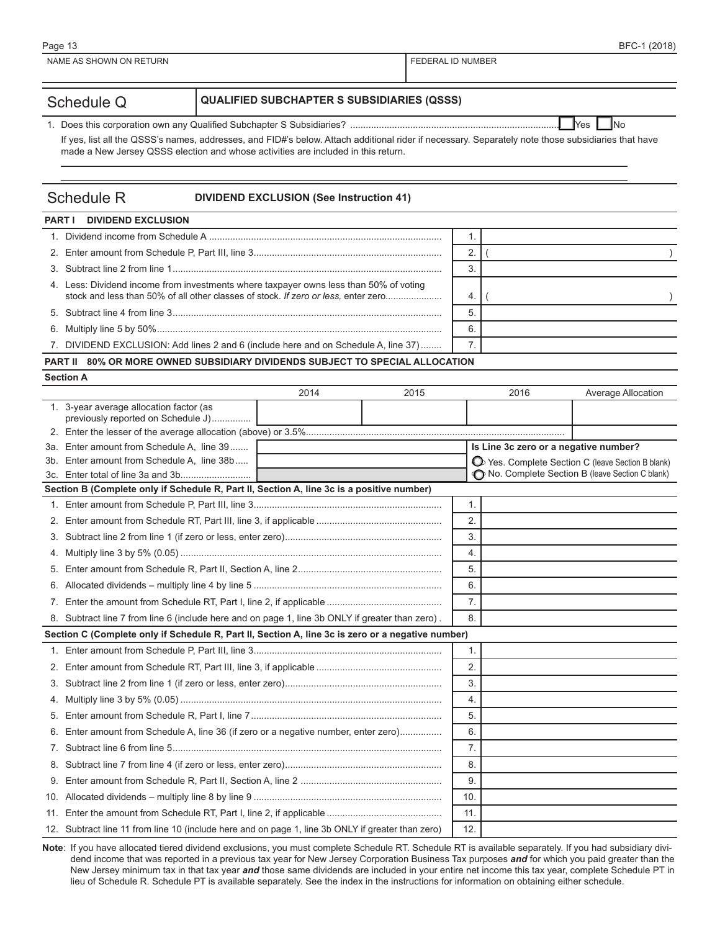|                                                                 | Page 13                                                                                                                                                                                                                                 |  | BFC-1 (2018)      |  |  |  |
|-----------------------------------------------------------------|-----------------------------------------------------------------------------------------------------------------------------------------------------------------------------------------------------------------------------------------|--|-------------------|--|--|--|
|                                                                 | NAME AS SHOWN ON RETURN                                                                                                                                                                                                                 |  | FEDERAL ID NUMBER |  |  |  |
|                                                                 |                                                                                                                                                                                                                                         |  |                   |  |  |  |
| <b>QUALIFIED SUBCHAPTER S SUBSIDIARIES (QSSS)</b><br>Schedule Q |                                                                                                                                                                                                                                         |  |                   |  |  |  |
|                                                                 | <b>IYes</b><br>$\blacksquare$ No                                                                                                                                                                                                        |  |                   |  |  |  |
|                                                                 | If yes, list all the QSSS's names, addresses, and FID#'s below. Attach additional rider if necessary. Separately note those subsidiaries that have<br>made a New Jersey QSSS election and whose activities are included in this return. |  |                   |  |  |  |

### Schedule R **DIVIDEND EXCLUSION (See Instruction 41)**

| <b>PART I</b> DIVIDEND EXCLUSION                                                                                                                                            |  |  |  |  |  |  |
|-----------------------------------------------------------------------------------------------------------------------------------------------------------------------------|--|--|--|--|--|--|
|                                                                                                                                                                             |  |  |  |  |  |  |
|                                                                                                                                                                             |  |  |  |  |  |  |
|                                                                                                                                                                             |  |  |  |  |  |  |
| 4. Less: Dividend income from investments where taxpayer owns less than 50% of voting<br>stock and less than 50% of all other classes of stock. If zero or less, enter zero |  |  |  |  |  |  |
|                                                                                                                                                                             |  |  |  |  |  |  |
|                                                                                                                                                                             |  |  |  |  |  |  |
| 7. DIVIDEND EXCLUSION: Add lines 2 and 6 (include here and on Schedule A, line 37)                                                                                          |  |  |  |  |  |  |
| <b>PART II 80% OR MORE OWNED SUBSIDIARY DIVIDENDS SUBJECT TO SPECIAL ALLOCATION</b>                                                                                         |  |  |  |  |  |  |

| <b>Section A</b> |  |
|------------------|--|
|------------------|--|

|             |                                                                                                   | 2014 | 2015 | 2016                                  | Average Allocation                                                                                  |
|-------------|---------------------------------------------------------------------------------------------------|------|------|---------------------------------------|-----------------------------------------------------------------------------------------------------|
|             | 1. 3-year average allocation factor (as                                                           |      |      |                                       |                                                                                                     |
|             | previously reported on Schedule J)                                                                |      |      |                                       |                                                                                                     |
|             |                                                                                                   |      |      |                                       |                                                                                                     |
| 3b.         | 3a. Enter amount from Schedule A, line 39<br>Enter amount from Schedule A, line 38b               |      |      | Is Line 3c zero or a negative number? |                                                                                                     |
|             |                                                                                                   |      |      |                                       | O Yes. Complete Section C (leave Section B blank)<br>No. Complete Section B (leave Section C blank) |
|             | Section B (Complete only if Schedule R, Part II, Section A, line 3c is a positive number)         |      |      |                                       |                                                                                                     |
|             |                                                                                                   |      |      | 1.                                    |                                                                                                     |
|             |                                                                                                   |      |      | 2.                                    |                                                                                                     |
|             |                                                                                                   |      |      | 3.                                    |                                                                                                     |
| 4.          |                                                                                                   |      |      | 4.                                    |                                                                                                     |
|             |                                                                                                   |      |      | 5.                                    |                                                                                                     |
|             |                                                                                                   |      |      | 6.                                    |                                                                                                     |
| 7.          |                                                                                                   |      |      | 7.                                    |                                                                                                     |
|             | 8. Subtract line 7 from line 6 (include here and on page 1, line 3b ONLY if greater than zero).   |      |      | 8.                                    |                                                                                                     |
|             | Section C (Complete only if Schedule R, Part II, Section A, line 3c is zero or a negative number) |      |      |                                       |                                                                                                     |
|             |                                                                                                   |      |      | 1.                                    |                                                                                                     |
| 2.          |                                                                                                   |      |      | 2.                                    |                                                                                                     |
| 3.          |                                                                                                   |      |      | 3.                                    |                                                                                                     |
| 4.          |                                                                                                   |      |      | 4.                                    |                                                                                                     |
|             |                                                                                                   |      |      | 5.                                    |                                                                                                     |
| 6.          | Enter amount from Schedule A, line 36 (if zero or a negative number, enter zero)                  |      |      | 6.                                    |                                                                                                     |
| $7_{\cdot}$ |                                                                                                   |      |      | 7.                                    |                                                                                                     |
|             |                                                                                                   |      |      | 8.                                    |                                                                                                     |
| 9.          |                                                                                                   |      |      | 9.                                    |                                                                                                     |
| 10.         |                                                                                                   |      |      | 10.                                   |                                                                                                     |
|             |                                                                                                   |      |      | 11.                                   |                                                                                                     |
|             | 12. Subtract line 11 from line 10 (include here and on page 1, line 3b ONLY if greater than zero) |      |      | 12.                                   |                                                                                                     |

Note: If you have allocated tiered dividend exclusions, you must complete Schedule RT. Schedule RT is available separately. If you had subsidiary dividend income that was reported in a previous tax year for New Jersey Corporation Business Tax purposes *and* for which you paid greater than the New Jersey minimum tax in that tax year *and* those same dividends are included in your entire net income this tax year, complete Schedule PT in lieu of Schedule R. Schedule PT is available separately. See the index in the instructions for information on obtaining either schedule.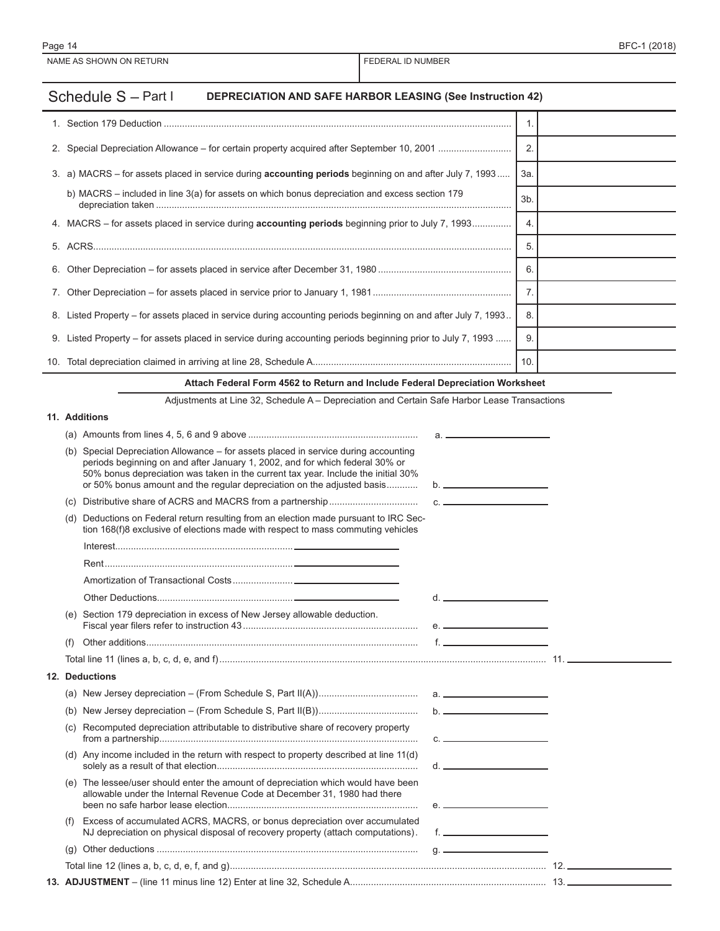## Schedule S - Part I **DEPRECIATION AND SAFE HARBOR LEASING (See Instruction 42)**

| 2. Special Depreciation Allowance – for certain property acquired after September 10, 2001                      |     |  |
|-----------------------------------------------------------------------------------------------------------------|-----|--|
| 3. a) MACRS – for assets placed in service during <b>accounting periods</b> beginning on and after July 7, 1993 | 3а. |  |
| b) MACRS – included in line $3(a)$ for assets on which bonus depreciation and excess section 179                | 3b. |  |
| 4. MACRS – for assets placed in service during <b>accounting periods</b> beginning prior to July 7, 1993        | 4.  |  |
|                                                                                                                 | 5.  |  |
|                                                                                                                 | 6.  |  |
|                                                                                                                 |     |  |
| 8. Listed Property - for assets placed in service during accounting periods beginning on and after July 7, 1993 | 8.  |  |
| 9. Listed Property – for assets placed in service during accounting periods beginning prior to July 7, 1993     | 9   |  |
|                                                                                                                 | 10. |  |

#### **Attach Federal Form 4562 to Return and Include Federal Depreciation Worksheet**

Adjustments at Line 32, Schedule A – Depreciation and Certain Safe Harbor Lease Transactions

### **11. Additions**

|     |                                                                                                                                                                                                                                                                                                                                | $a.$ $\overline{\phantom{a}}$ |  |
|-----|--------------------------------------------------------------------------------------------------------------------------------------------------------------------------------------------------------------------------------------------------------------------------------------------------------------------------------|-------------------------------|--|
| (b) | Special Depreciation Allowance – for assets placed in service during accounting<br>periods beginning on and after January 1, 2002, and for which federal 30% or<br>50% bonus depreciation was taken in the current tax year. Include the initial 30%<br>or 50% bonus amount and the regular depreciation on the adjusted basis |                               |  |
| (C) |                                                                                                                                                                                                                                                                                                                                | C <sub>1</sub>                |  |
| (d) | Deductions on Federal return resulting from an election made pursuant to IRC Sec-<br>tion 168(f)8 exclusive of elections made with respect to mass commuting vehicles                                                                                                                                                          |                               |  |
|     |                                                                                                                                                                                                                                                                                                                                |                               |  |
|     |                                                                                                                                                                                                                                                                                                                                |                               |  |
|     |                                                                                                                                                                                                                                                                                                                                |                               |  |
|     |                                                                                                                                                                                                                                                                                                                                |                               |  |
|     | (e) Section 179 depreciation in excess of New Jersey allowable deduction.                                                                                                                                                                                                                                                      |                               |  |
| (t) |                                                                                                                                                                                                                                                                                                                                |                               |  |
|     |                                                                                                                                                                                                                                                                                                                                |                               |  |
|     | 12. Deductions                                                                                                                                                                                                                                                                                                                 |                               |  |
|     |                                                                                                                                                                                                                                                                                                                                |                               |  |
|     |                                                                                                                                                                                                                                                                                                                                | $b.$ $\overline{\phantom{a}}$ |  |
|     |                                                                                                                                                                                                                                                                                                                                |                               |  |
|     | (c) Recomputed depreciation attributable to distributive share of recovery property                                                                                                                                                                                                                                            | $C.$ $\qquad \qquad$          |  |
|     | (d) Any income included in the return with respect to property described at line 11(d)                                                                                                                                                                                                                                         |                               |  |
|     | (e) The lessee/user should enter the amount of depreciation which would have been<br>allowable under the Internal Revenue Code at December 31, 1980 had there                                                                                                                                                                  |                               |  |
| (t) | Excess of accumulated ACRS, MACRS, or bonus depreciation over accumulated<br>NJ depreciation on physical disposal of recovery property (attach computations).                                                                                                                                                                  |                               |  |
|     |                                                                                                                                                                                                                                                                                                                                |                               |  |
|     |                                                                                                                                                                                                                                                                                                                                |                               |  |
|     |                                                                                                                                                                                                                                                                                                                                |                               |  |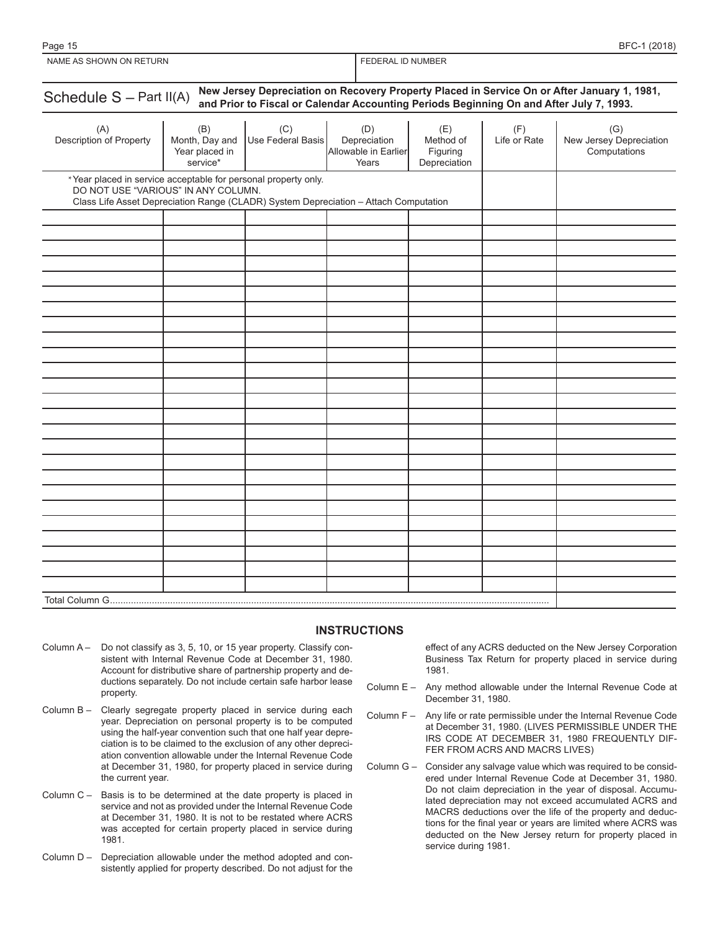| New Jersey Depreciation on Recovery Property Placed in Service On or After January 1, 1981,<br>Schedule S - Part II(A)<br>and Prior to Fiscal or Calendar Accounting Periods Beginning On and After July 7, 1993. |                                                     |                          |                                                      |                                              |                     |                                                |  |
|-------------------------------------------------------------------------------------------------------------------------------------------------------------------------------------------------------------------|-----------------------------------------------------|--------------------------|------------------------------------------------------|----------------------------------------------|---------------------|------------------------------------------------|--|
| (A)<br>Description of Property                                                                                                                                                                                    | (B)<br>Month, Day and<br>Year placed in<br>service* | (C)<br>Use Federal Basis | (D)<br>Depreciation<br>Allowable in Earlier<br>Years | (E)<br>Method of<br>Figuring<br>Depreciation | (F)<br>Life or Rate | (G)<br>New Jersey Depreciation<br>Computations |  |
| *Year placed in service acceptable for personal property only.<br>DO NOT USE "VARIOUS" IN ANY COLUMN.<br>Class Life Asset Depreciation Range (CLADR) System Depreciation - Attach Computation                     |                                                     |                          |                                                      |                                              |                     |                                                |  |
|                                                                                                                                                                                                                   |                                                     |                          |                                                      |                                              |                     |                                                |  |
|                                                                                                                                                                                                                   |                                                     |                          |                                                      |                                              |                     |                                                |  |
|                                                                                                                                                                                                                   |                                                     |                          |                                                      |                                              |                     |                                                |  |
|                                                                                                                                                                                                                   |                                                     |                          |                                                      |                                              |                     |                                                |  |
|                                                                                                                                                                                                                   |                                                     |                          |                                                      |                                              |                     |                                                |  |
|                                                                                                                                                                                                                   |                                                     |                          |                                                      |                                              |                     |                                                |  |
|                                                                                                                                                                                                                   |                                                     |                          |                                                      |                                              |                     |                                                |  |
|                                                                                                                                                                                                                   |                                                     |                          |                                                      |                                              |                     |                                                |  |
|                                                                                                                                                                                                                   |                                                     |                          |                                                      |                                              |                     |                                                |  |
|                                                                                                                                                                                                                   |                                                     |                          |                                                      |                                              |                     |                                                |  |
|                                                                                                                                                                                                                   |                                                     |                          |                                                      |                                              |                     |                                                |  |
|                                                                                                                                                                                                                   |                                                     |                          |                                                      |                                              |                     |                                                |  |
|                                                                                                                                                                                                                   |                                                     |                          |                                                      |                                              |                     |                                                |  |
|                                                                                                                                                                                                                   |                                                     |                          |                                                      |                                              |                     |                                                |  |
|                                                                                                                                                                                                                   |                                                     |                          |                                                      |                                              |                     |                                                |  |
|                                                                                                                                                                                                                   |                                                     |                          |                                                      |                                              |                     |                                                |  |
|                                                                                                                                                                                                                   |                                                     |                          |                                                      |                                              |                     |                                                |  |
|                                                                                                                                                                                                                   |                                                     |                          |                                                      |                                              |                     |                                                |  |
|                                                                                                                                                                                                                   |                                                     |                          |                                                      |                                              |                     |                                                |  |
|                                                                                                                                                                                                                   |                                                     |                          |                                                      |                                              |                     |                                                |  |
|                                                                                                                                                                                                                   |                                                     |                          |                                                      |                                              |                     |                                                |  |
|                                                                                                                                                                                                                   |                                                     |                          |                                                      |                                              |                     |                                                |  |
|                                                                                                                                                                                                                   |                                                     |                          |                                                      |                                              |                     |                                                |  |
|                                                                                                                                                                                                                   |                                                     |                          |                                                      |                                              |                     |                                                |  |
|                                                                                                                                                                                                                   |                                                     |                          |                                                      |                                              |                     |                                                |  |
| Total Column G                                                                                                                                                                                                    |                                                     |                          |                                                      |                                              |                     |                                                |  |

### **INSTRUCTIONS**

- Column A Do not classify as 3, 5, 10, or 15 year property. Classify consistent with Internal Revenue Code at December 31, 1980. Account for distributive share of partnership property and deductions separately. Do not include certain safe harbor lease property.
- Column B Clearly segregate property placed in service during each year. Depreciation on personal property is to be computed using the half-year convention such that one half year depreciation is to be claimed to the exclusion of any other depreciation convention allowable under the Internal Revenue Code at December 31, 1980, for property placed in service during the current year.
- Column C Basis is to be determined at the date property is placed in service and not as provided under the Internal Revenue Code at December 31, 1980. It is not to be restated where ACRS was accepted for certain property placed in service during 1981.
- Column D Depreciation allowable under the method adopted and consistently applied for property described. Do not adjust for the

effect of any ACRS deducted on the New Jersey Corporation Business Tax Return for property placed in service during 1981.

- Column E Any method allowable under the Internal Revenue Code at December 31, 1980.
- Column F Any life or rate permissible under the Internal Revenue Code at December 31, 1980. (LIVES PERMISSIBLE UNDER THE IRS CODE AT DECEMBER 31, 1980 FREQUENTLY DIF-FER FROM ACRS AND MACRS LIVES)
- Column G Consider any salvage value which was required to be considered under Internal Revenue Code at December 31, 1980. Do not claim depreciation in the year of disposal. Accumulated depreciation may not exceed accumulated ACRS and MACRS deductions over the life of the property and deductions for the final year or years are limited where ACRS was deducted on the New Jersey return for property placed in service during 1981.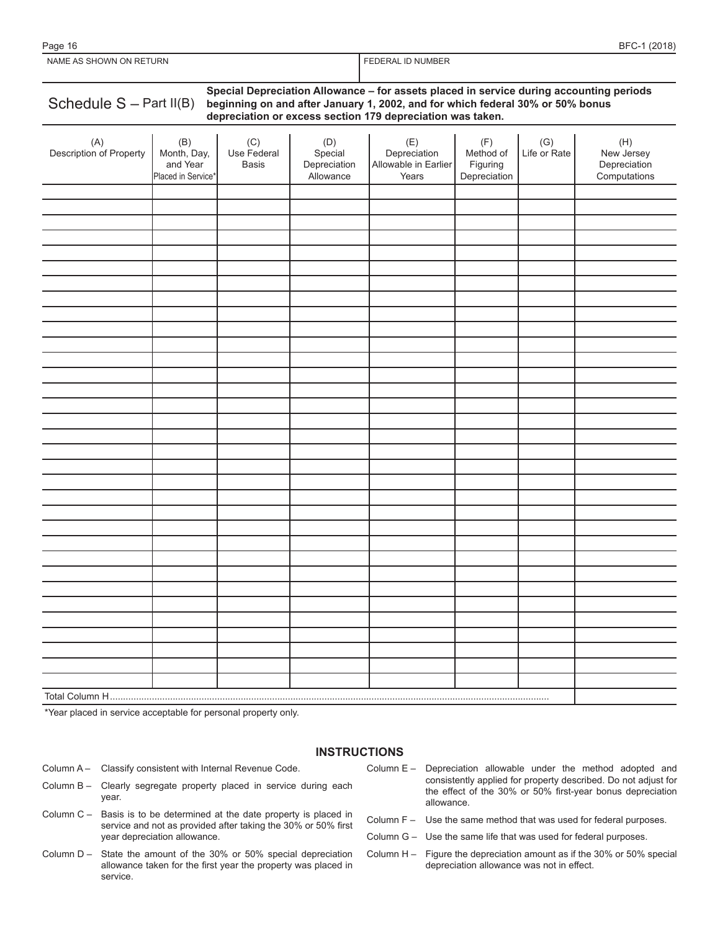| NAME AS SHOWN ON RETURN                                                                                                                                                                                                                                              |                                                      |                             |                                             | FEDERAL ID NUMBER                                    |                                              |                     |                                                   |
|----------------------------------------------------------------------------------------------------------------------------------------------------------------------------------------------------------------------------------------------------------------------|------------------------------------------------------|-----------------------------|---------------------------------------------|------------------------------------------------------|----------------------------------------------|---------------------|---------------------------------------------------|
| Special Depreciation Allowance - for assets placed in service during accounting periods<br>Schedule $S - Part II(B)$<br>beginning on and after January 1, 2002, and for which federal 30% or 50% bonus<br>depreciation or excess section 179 depreciation was taken. |                                                      |                             |                                             |                                                      |                                              |                     |                                                   |
| (A)<br>Description of Property                                                                                                                                                                                                                                       | (B)<br>Month, Day,<br>and Year<br>Placed in Service* | (C)<br>Use Federal<br>Basis | (D)<br>Special<br>Depreciation<br>Allowance | (E)<br>Depreciation<br>Allowable in Earlier<br>Years | (F)<br>Method of<br>Figuring<br>Depreciation | (G)<br>Life or Rate | (H)<br>New Jersey<br>Depreciation<br>Computations |
|                                                                                                                                                                                                                                                                      |                                                      |                             |                                             |                                                      |                                              |                     |                                                   |
|                                                                                                                                                                                                                                                                      |                                                      |                             |                                             |                                                      |                                              |                     |                                                   |
|                                                                                                                                                                                                                                                                      |                                                      |                             |                                             |                                                      |                                              |                     |                                                   |
|                                                                                                                                                                                                                                                                      |                                                      |                             |                                             |                                                      |                                              |                     |                                                   |
|                                                                                                                                                                                                                                                                      |                                                      |                             |                                             |                                                      |                                              |                     |                                                   |
|                                                                                                                                                                                                                                                                      |                                                      |                             |                                             |                                                      |                                              |                     |                                                   |
|                                                                                                                                                                                                                                                                      |                                                      |                             |                                             |                                                      |                                              |                     |                                                   |
|                                                                                                                                                                                                                                                                      |                                                      |                             |                                             |                                                      |                                              |                     |                                                   |
|                                                                                                                                                                                                                                                                      |                                                      |                             |                                             |                                                      |                                              |                     |                                                   |
|                                                                                                                                                                                                                                                                      |                                                      |                             |                                             |                                                      |                                              |                     |                                                   |

Page 16 BFC-1 (2018)

\*Year placed in service acceptable for personal property only.

#### **INSTRUCTIONS**

- Column A Classify consistent with Internal Revenue Code.
- Column B Clearly segregate property placed in service during each year.
- Column C Basis is to be determined at the date property is placed in service and not as provided after taking the 30% or 50% first year depreciation allowance.
- Column D State the amount of the 30% or 50% special depreciation allowance taken for the first year the property was placed in service.
- Column E Depreciation allowable under the method adopted and consistently applied for property described. Do not adjust for the effect of the 30% or 50% first-year bonus depreciation allowance.
- Column F Use the same method that was used for federal purposes.
- Column G Use the same life that was used for federal purposes.
- Column H Figure the depreciation amount as if the 30% or 50% special depreciation allowance was not in effect.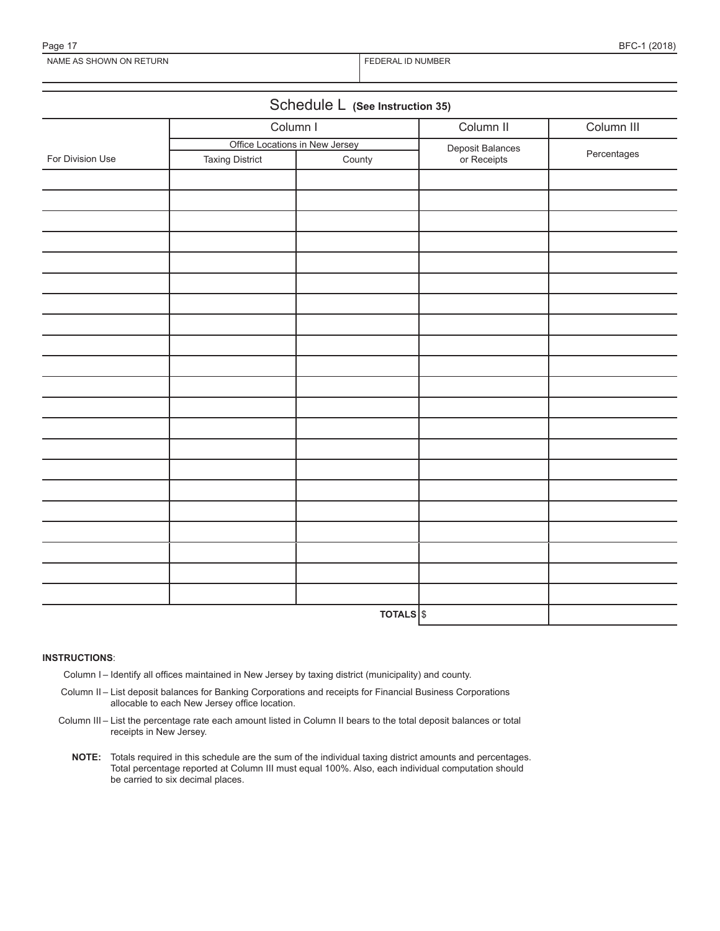Page 17 BFC-1 (2018)

| Schedule L (See Instruction 35) |                                |           |                  |             |  |  |
|---------------------------------|--------------------------------|-----------|------------------|-------------|--|--|
|                                 | Column I                       |           | Column II        | Column III  |  |  |
|                                 | Office Locations in New Jersey |           | Deposit Balances | Percentages |  |  |
| For Division Use                | <b>Taxing District</b>         | County    | or Receipts      |             |  |  |
|                                 |                                |           |                  |             |  |  |
|                                 |                                |           |                  |             |  |  |
|                                 |                                |           |                  |             |  |  |
|                                 |                                |           |                  |             |  |  |
|                                 |                                |           |                  |             |  |  |
|                                 |                                |           |                  |             |  |  |
|                                 |                                |           |                  |             |  |  |
|                                 |                                |           |                  |             |  |  |
|                                 |                                |           |                  |             |  |  |
|                                 |                                |           |                  |             |  |  |
|                                 |                                |           |                  |             |  |  |
|                                 |                                |           |                  |             |  |  |
|                                 |                                |           |                  |             |  |  |
|                                 |                                |           |                  |             |  |  |
|                                 |                                |           |                  |             |  |  |
|                                 |                                |           |                  |             |  |  |
|                                 |                                |           |                  |             |  |  |
|                                 |                                |           |                  |             |  |  |
|                                 |                                |           |                  |             |  |  |
|                                 |                                |           |                  |             |  |  |
|                                 |                                |           |                  |             |  |  |
|                                 |                                | TOTALS \$ |                  |             |  |  |

#### **INSTRUCTIONS**:

Column I – Identify all offices maintained in New Jersey by taxing district (municipality) and county.

- Column II List deposit balances for Banking Corporations and receipts for Financial Business Corporations allocable to each New Jersey office location.
- Column III List the percentage rate each amount listed in Column II bears to the total deposit balances or total receipts in New Jersey.
	- **NOTE:** Totals required in this schedule are the sum of the individual taxing district amounts and percentages. Total percentage reported at Column III must equal 100%. Also, each individual computation should be carried to six decimal places.